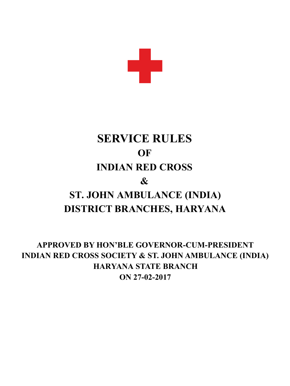

# **SERVICE RULES RED CROSS INDIAN & ST. JOHN AMBULANCE (INDIA) DISTRICT BRANCHES, HARYANA OF**

**APPROVED BY HON'BLE GOVERNOR-CUM-PRESIDENT INDIAN RED CROSS SOCIETY & ST. JOHN AMBULANCE (INDIA) HARYANA STATE BRANCH ON 27-02-2017**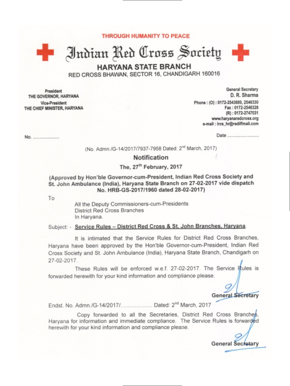**THROUGH HUMANITY TO PEACE** 

Indian Red Cross Society

**HARYANA STATE BRANCH** 

RED CROSS BHAWAN, SECTOR 16, CHANDIGARH 160016

President THE GOVERNOR, HARYANA Vice-President THE CHIEF MINISTER, HARYANA

a ije

General Secretary D. R. Sharma Phone: (0): 0172-2543889, 2546330 Fax: 0172-2546328 (R): 0172-2747031 www.haryanaredcross.org e-mail : ircs\_hr@rediffmail.com

No. ......................

Date ..........................

(No. Admn./G-14/2017/7937-7958 Dated: 2<sup>nd</sup> March, 2017)

#### **Notification**

#### The, 27<sup>th</sup> February, 2017

#### (Approved by Hon'ble Governor-cum-President, Indian Red Cross Society and St. John Ambulance (India), Haryana State Branch on 27-02-2017 vide dispatch No. HRB-GS-2017/1960 dated 28-02-2017)

To

All the Deputy Commissioners-cum-Presidents District Red Cross Branches In Haryana.

#### Subject: - Service Rules - District Red Cross & St. John Branches, Haryana.

It is intimated that the Service Rules for District Red Cross Branches. Haryana have been approved by the Hon'ble Governor-cum-President, Indian Red Cross Society and St. John Ambulance (India), Haryana State Branch, Chandigarh on 27-02-2017.

These Rules will be enforced w.e.f. 27-02-2017. The Service Rules is forwarded herewith for your kind information and compliance please.

**General Secretary** 

Endst. No. Admn./G-14/2017/...................... Dated: 2nd March, 2017

Copy forwarded to all the Secretaries, District Red Cross Branches, Harvana for information and immediate compliance. The Service Rules is forwarded herewith for your kind information and compliance please.

General Secretary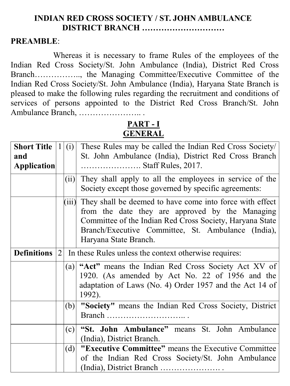# **INDIAN RED CROSS SOCIETY / ST. JOHN AMBULANCE DISTRICT BRANCH …………………………**

# **PREAMBLE**:

Whereas it is necessary to frame Rules of the employees of the Indian Red Cross Society/St. John Ambulance (India), District Red Cross Branch…………….., the Managing Committee/Executive Committee of the Indian Red Cross Society/St. John Ambulance (India), Haryana State Branch is pleased to make the following rules regarding the recruitment and conditions of services of persons appointed to the District Red Cross Branch/St. John Ambulance Branch, ………………….. .

# **PART - I GENERAL**

| <b>Short Title</b> | $\mathbf{1}$   | (i)  | These Rules may be called the Indian Red Cross Society         |  |  |  |
|--------------------|----------------|------|----------------------------------------------------------------|--|--|--|
| and                |                |      | St. John Ambulance (India), District Red Cross Branch          |  |  |  |
| Application        |                |      | Staff Rules, 2017.                                             |  |  |  |
|                    |                | (ii) | They shall apply to all the employees in service of the        |  |  |  |
|                    |                |      | Society except those governed by specific agreements:          |  |  |  |
|                    |                |      | (iii) They shall be deemed to have come into force with effect |  |  |  |
|                    |                |      | from the date they are approved by the Managing                |  |  |  |
|                    |                |      | Committee of the Indian Red Cross Society, Haryana State       |  |  |  |
|                    |                |      | Branch/Executive Committee, St. Ambulance (India),             |  |  |  |
|                    |                |      | Haryana State Branch.                                          |  |  |  |
| <b>Definitions</b> | $\overline{2}$ |      | In these Rules unless the context otherwise requires:          |  |  |  |
|                    |                |      | (a) "Act" means the Indian Red Cross Society Act XV of         |  |  |  |
|                    |                |      | 1920. (As amended by Act No. 22 of 1956 and the                |  |  |  |
|                    |                |      | adaptation of Laws (No. 4) Order 1957 and the Act 14 of        |  |  |  |
|                    |                |      | 1992).                                                         |  |  |  |
|                    |                |      | (b) "Society" means the Indian Red Cross Society, District     |  |  |  |
|                    |                |      | Branch                                                         |  |  |  |
|                    |                | (c)  | "St. John Ambulance" means St. John Ambulance                  |  |  |  |
|                    |                |      | (India), District Branch.                                      |  |  |  |
|                    |                |      | (d) <b>"Executive Committee"</b> means the Executive Committee |  |  |  |
|                    |                |      | of the Indian Red Cross Society/St. John Ambulance             |  |  |  |
|                    |                |      |                                                                |  |  |  |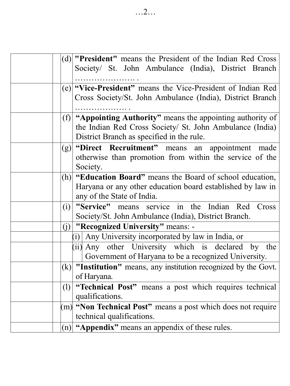| (d) <b>"President"</b> means the President of the Indian Red Cross |
|--------------------------------------------------------------------|
| Society/ St. John Ambulance (India), District Branch               |
|                                                                    |
| (e) <b>"Vice-President"</b> means the Vice-President of Indian Red |
| Cross Society/St. John Ambulance (India), District Branch          |
|                                                                    |
| (f) "Appointing Authority" means the appointing authority of       |
| the Indian Red Cross Society/ St. John Ambulance (India)           |
| District Branch as specified in the rule.                          |
| (g) "Direct Recruitment" means an appointment made                 |
| otherwise than promotion from within the service of the            |
| Society.                                                           |
| (h) <b>"Education Board"</b> means the Board of school education,  |
| Haryana or any other education board established by law in         |
| any of the State of India.                                         |
| "Service" means service in the Indian Red Cross<br>(i)             |
| Society/St. John Ambulance (India), District Branch.               |
| $(i)$ "Recognized University" means: -                             |
| (i) Any University incorporated by law in India, or                |
| (ii) Any other University which is declared by the                 |
| Government of Haryana to be a recognized University.               |
| $(k)$ "Institution" means, any institution recognized by the Govt. |
| of Haryana.                                                        |
| "Technical Post" means a post which requires technical<br>(1)      |
| qualifications.                                                    |
| (m) "Non Technical Post" means a post which does not require       |
| technical qualifications.                                          |
| (n) "Appendix" means an appendix of these rules.                   |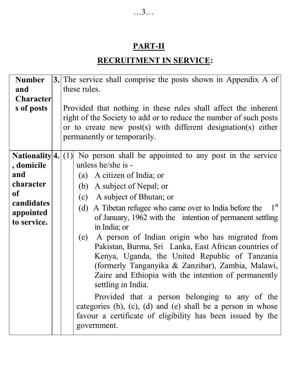# **PART-II**

# **RECRUITMENT IN SERVICE:**

| <b>Number</b>         | 3. The service shall comprise the posts shown in Appendix A of             |  |  |  |
|-----------------------|----------------------------------------------------------------------------|--|--|--|
| and                   | these rules.                                                               |  |  |  |
| <b>Character</b>      |                                                                            |  |  |  |
| s of posts            | Provided that nothing in these rules shall affect the inherent             |  |  |  |
|                       | right of the Society to add or to reduce the number of such posts          |  |  |  |
|                       | or to create new post(s) with different designation(s) either              |  |  |  |
|                       | permanently or temporarily.                                                |  |  |  |
|                       |                                                                            |  |  |  |
| Nationality $4. (1) $ | No person shall be appointed to any post in the service                    |  |  |  |
| , domicile            | unless he/she is -                                                         |  |  |  |
| and                   | (a) A citizen of India; or                                                 |  |  |  |
| character             | (b) A subject of Nepal; or                                                 |  |  |  |
| of                    | A subject of Bhutan; or<br>(c)                                             |  |  |  |
| candidates            | $1^{\rm st}$<br>A Tibetan refugee who came over to India before the<br>(d) |  |  |  |
| appointed             | of January, 1962 with the intention of permanent settling                  |  |  |  |
| to service.           | in India; or                                                               |  |  |  |
|                       | A person of Indian origin who has migrated from<br>(e)                     |  |  |  |
|                       | Pakistan, Burma, Sri Lanka, East African countries of                      |  |  |  |
|                       | Kenya, Uganda, the United Republic of Tanzania                             |  |  |  |
|                       | (formerly Tanganyika & Zanzibar), Zambia, Malawi,                          |  |  |  |
|                       | Zaire and Ethiopia with the intention of permanently                       |  |  |  |
|                       | settling in India.                                                         |  |  |  |
|                       | Provided that a person belonging to any of the                             |  |  |  |
|                       | categories $(b)$ , $(c)$ , $(d)$ and $(e)$ shall be a person in whose      |  |  |  |
|                       |                                                                            |  |  |  |
|                       | favour a certificate of eligibility has been issued by the                 |  |  |  |
|                       | government.                                                                |  |  |  |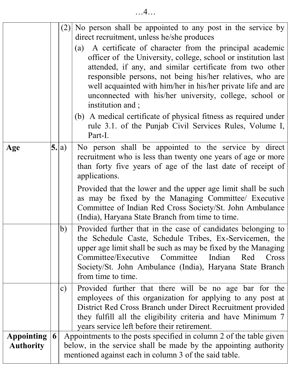|                                       |   |               | $(2)$ No person shall be appointed to any post in the service by<br>direct recruitment, unless he/she produces                                                                                                                                                                                                                                                                                          |  |  |
|---------------------------------------|---|---------------|---------------------------------------------------------------------------------------------------------------------------------------------------------------------------------------------------------------------------------------------------------------------------------------------------------------------------------------------------------------------------------------------------------|--|--|
|                                       |   |               | A certificate of character from the principal academic<br>(a)<br>officer of the University, college, school or institution last<br>attended, if any, and similar certificate from two other<br>responsible persons, not being his/her relatives, who are<br>well acquainted with him/her in his/her private life and are<br>unconnected with his/her university, college, school or<br>institution and; |  |  |
|                                       |   |               | (b) A medical certificate of physical fitness as required under<br>rule 3.1. of the Punjab Civil Services Rules, Volume I,<br>Part-I.                                                                                                                                                                                                                                                                   |  |  |
| Age                                   |   | 5. a)         | No person shall be appointed to the service by direct<br>recruitment who is less than twenty one years of age or more<br>than forty five years of age of the last date of receipt of<br>applications.                                                                                                                                                                                                   |  |  |
|                                       |   |               | Provided that the lower and the upper age limit shall be such<br>as may be fixed by the Managing Committee/ Executive<br>Committee of Indian Red Cross Society/St. John Ambulance<br>(India), Haryana State Branch from time to time.                                                                                                                                                                   |  |  |
|                                       |   | b)            | Provided further that in the case of candidates belonging to<br>the Schedule Caste, Schedule Tribes, Ex-Servicemen, the<br>upper age limit shall be such as may be fixed by the Managing<br>Committee/Executive<br>Committee<br>Indian<br>Red<br>Cross<br>Society/St. John Ambulance (India), Haryana State Branch<br>from time to time.                                                                |  |  |
|                                       |   | $\mathbf{c})$ | Provided further that there will be no age bar for the<br>employees of this organization for applying to any post at<br>District Red Cross Branch under Direct Recruitment provided<br>they fulfill all the eligibility criteria and have Minimum 7<br>years service left before their retirement.                                                                                                      |  |  |
| <b>Appointing</b><br><b>Authority</b> | 6 |               | Appointments to the posts specified in column 2 of the table given<br>below, in the service shall be made by the appointing authority<br>mentioned against each in column 3 of the said table.                                                                                                                                                                                                          |  |  |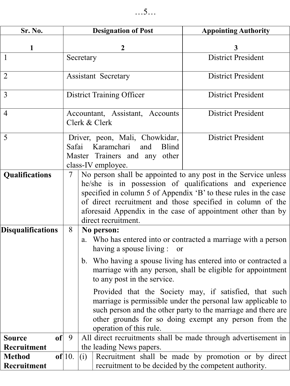| Sr. No.                                    | <b>Designation of Post</b> |                                                                                                                                                                                                                                                                                                                                                                  | <b>Appointing Authority</b>                                                                                                                                                                                                                      |  |
|--------------------------------------------|----------------------------|------------------------------------------------------------------------------------------------------------------------------------------------------------------------------------------------------------------------------------------------------------------------------------------------------------------------------------------------------------------|--------------------------------------------------------------------------------------------------------------------------------------------------------------------------------------------------------------------------------------------------|--|
| 1                                          |                            | 2                                                                                                                                                                                                                                                                                                                                                                | 3                                                                                                                                                                                                                                                |  |
| $\overline{1}$                             |                            | Secretary                                                                                                                                                                                                                                                                                                                                                        | <b>District President</b>                                                                                                                                                                                                                        |  |
| $\overline{2}$                             |                            | <b>Assistant Secretary</b>                                                                                                                                                                                                                                                                                                                                       | <b>District President</b>                                                                                                                                                                                                                        |  |
| $\overline{3}$                             |                            | <b>District Training Officer</b>                                                                                                                                                                                                                                                                                                                                 | <b>District President</b>                                                                                                                                                                                                                        |  |
| $\overline{4}$                             |                            | Accountant, Assistant, Accounts<br>Clerk & Clerk                                                                                                                                                                                                                                                                                                                 | District President                                                                                                                                                                                                                               |  |
| 5                                          | Safai                      | <b>District President</b><br>Driver, peon, Mali, Chowkidar,<br>Karamchari<br>and<br><b>Blind</b><br>Master Trainers and any other<br>class-IV employee.                                                                                                                                                                                                          |                                                                                                                                                                                                                                                  |  |
| Qualifications<br><b>Disqualifications</b> | $\overline{7}$<br>8        | No person shall be appointed to any post in the Service unless<br>he/she is in possession of qualifications and experience<br>specified in column 5 of Appendix 'B' to these rules in the case<br>of direct recruitment and those specified in column of the<br>aforesaid Appendix in the case of appointment other than by<br>direct recruitment.<br>No person: |                                                                                                                                                                                                                                                  |  |
|                                            |                            | having a spouse living :<br>or<br>to any post in the service.                                                                                                                                                                                                                                                                                                    | a. Who has entered into or contracted a marriage with a person<br>b. Who having a spouse living has entered into or contracted a<br>marriage with any person, shall be eligible for appointment                                                  |  |
|                                            |                            | operation of this rule.                                                                                                                                                                                                                                                                                                                                          | Provided that the Society may, if satisfied, that such<br>marriage is permissible under the personal law applicable to<br>such person and the other party to the marriage and there are<br>other grounds for so doing exempt any person from the |  |
| of<br><b>Source</b><br>Recruitment         | 9                          | the leading News papers.                                                                                                                                                                                                                                                                                                                                         | All direct recruitments shall be made through advertisement in                                                                                                                                                                                   |  |
| <b>Method</b><br>Recruitment               | of 10.                     | Recruitment shall be made by promotion or by direct<br>(i)<br>recruitment to be decided by the competent authority.                                                                                                                                                                                                                                              |                                                                                                                                                                                                                                                  |  |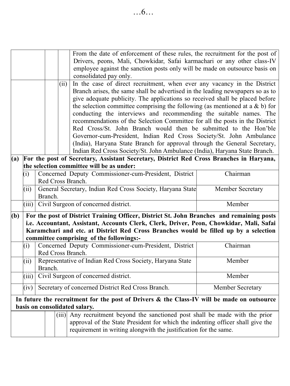|     |                                                                                           |                                                                       |                                                                     |                                                | From the date of enforcement of these rules, the recruitment for the post of               |          |  |  |  |
|-----|-------------------------------------------------------------------------------------------|-----------------------------------------------------------------------|---------------------------------------------------------------------|------------------------------------------------|--------------------------------------------------------------------------------------------|----------|--|--|--|
|     |                                                                                           |                                                                       |                                                                     |                                                | Drivers, peons, Mali, Chowkidar, Safai karmachari or any other class-IV                    |          |  |  |  |
|     |                                                                                           |                                                                       |                                                                     |                                                | employee against the sanction posts only will be made on outsource basis on                |          |  |  |  |
|     |                                                                                           |                                                                       | consolidated pay only.                                              |                                                |                                                                                            |          |  |  |  |
|     |                                                                                           |                                                                       |                                                                     | (ii)                                           | In the case of direct recruitment, when ever any vacancy in the District                   |          |  |  |  |
|     |                                                                                           |                                                                       |                                                                     |                                                | Branch arises, the same shall be advertised in the leading newspapers so as to             |          |  |  |  |
|     |                                                                                           |                                                                       |                                                                     |                                                | give adequate publicity. The applications so received shall be placed before               |          |  |  |  |
|     |                                                                                           |                                                                       |                                                                     |                                                | the selection committee comprising the following (as mentioned at a $\&$ b) for            |          |  |  |  |
|     |                                                                                           |                                                                       |                                                                     |                                                | conducting the interviews and recommending the suitable names. The                         |          |  |  |  |
|     |                                                                                           |                                                                       |                                                                     |                                                | recommendations of the Selection Committee for all the posts in the District               |          |  |  |  |
|     |                                                                                           |                                                                       |                                                                     |                                                | Red Cross/St. John Branch would then be submitted to the Hon'ble                           |          |  |  |  |
|     |                                                                                           |                                                                       |                                                                     |                                                | Governor-cum-President, Indian Red Cross Society/St. John Ambulance                        |          |  |  |  |
|     |                                                                                           |                                                                       |                                                                     |                                                | (India), Haryana State Branch for approval through the General Secretary,                  |          |  |  |  |
|     |                                                                                           |                                                                       |                                                                     |                                                | Indian Red Cross Society/St. John Ambulance (India), Haryana State Branch.                 |          |  |  |  |
| (a) |                                                                                           |                                                                       |                                                                     |                                                | For the post of Secretary, Assistant Secretary, District Red Cross Branches in Haryana,    |          |  |  |  |
|     |                                                                                           |                                                                       |                                                                     |                                                | the selection committee will be as under:                                                  |          |  |  |  |
|     | (i)                                                                                       |                                                                       |                                                                     |                                                | Concerned Deputy Commissioner-cum-President, District                                      | Chairman |  |  |  |
|     |                                                                                           |                                                                       | Red Cross Branch.                                                   |                                                |                                                                                            |          |  |  |  |
|     | (ii)                                                                                      |                                                                       |                                                                     |                                                | General Secretary, Indian Red Cross Society, Haryana State<br>Member Secretary             |          |  |  |  |
|     |                                                                                           |                                                                       | Branch.                                                             |                                                |                                                                                            |          |  |  |  |
|     | (iii)                                                                                     |                                                                       |                                                                     | Civil Surgeon of concerned district.<br>Member |                                                                                            |          |  |  |  |
| (b) | For the post of District Training Officer, District St. John Branches and remaining posts |                                                                       |                                                                     |                                                |                                                                                            |          |  |  |  |
|     |                                                                                           |                                                                       |                                                                     |                                                | i.e. Accountant, Assistant, Accounts Clerk, Clerk, Driver, Peon, Chowkidar, Mali, Safai    |          |  |  |  |
|     |                                                                                           |                                                                       |                                                                     |                                                | Karamchari and etc. at District Red Cross Branches would be filled up by a selection       |          |  |  |  |
|     |                                                                                           |                                                                       |                                                                     |                                                | committee comprising of the followings:-                                                   |          |  |  |  |
|     | (i)                                                                                       | Concerned Deputy Commissioner-cum-President, District<br>Chairman     |                                                                     |                                                |                                                                                            |          |  |  |  |
|     |                                                                                           | Red Cross Branch.                                                     |                                                                     |                                                |                                                                                            |          |  |  |  |
|     | (ii)                                                                                      |                                                                       | Representative of Indian Red Cross Society, Haryana State<br>Member |                                                |                                                                                            |          |  |  |  |
|     |                                                                                           | Branch.                                                               |                                                                     |                                                |                                                                                            |          |  |  |  |
|     | (iii)                                                                                     |                                                                       | Civil Surgeon of concerned district.<br>Member                      |                                                |                                                                                            |          |  |  |  |
|     | (iv)                                                                                      | Secretary of concerned District Red Cross Branch.<br>Member Secretary |                                                                     |                                                |                                                                                            |          |  |  |  |
|     |                                                                                           |                                                                       |                                                                     |                                                | In future the recruitment for the post of Drivers & the Class-IV will be made on outsource |          |  |  |  |
|     |                                                                                           |                                                                       |                                                                     |                                                | basis on consolidated salary.                                                              |          |  |  |  |
|     |                                                                                           |                                                                       |                                                                     | (iii)                                          | Any recruitment beyond the sanctioned post shall be made with the prior                    |          |  |  |  |
|     |                                                                                           |                                                                       |                                                                     |                                                | approval of the State President for which the indenting officer shall give the             |          |  |  |  |
|     |                                                                                           |                                                                       |                                                                     |                                                | requirement in writing alongwith the justification for the same.                           |          |  |  |  |
|     |                                                                                           |                                                                       |                                                                     |                                                |                                                                                            |          |  |  |  |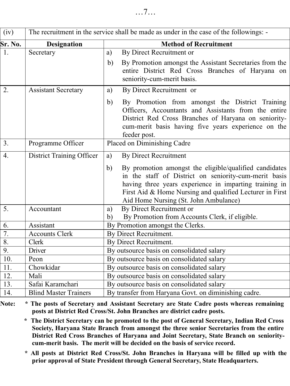| $\overline{({\rm iv})}$ |                              | The recruitment in the service shall be made as under in the case of the followings: -                                                                                                                                                                                               |
|-------------------------|------------------------------|--------------------------------------------------------------------------------------------------------------------------------------------------------------------------------------------------------------------------------------------------------------------------------------|
| Sr. No.                 | <b>Designation</b>           | <b>Method of Recruitment</b>                                                                                                                                                                                                                                                         |
| $\overline{1}$ .        | Secretary                    | By Direct Recruitment or<br>a)                                                                                                                                                                                                                                                       |
|                         |                              | By Promotion amongst the Assistant Secretaries from the<br>b)<br>entire District Red Cross Branches of Haryana on<br>seniority-cum-merit basis.                                                                                                                                      |
| 2.                      | <b>Assistant Secretary</b>   | By Direct Recruitment or<br>a)                                                                                                                                                                                                                                                       |
|                         |                              | By Promotion from amongst the District Training<br>b)<br>Officers, Accountants and Assistants from the entire<br>District Red Cross Branches of Haryana on seniority-<br>cum-merit basis having five years experience on the<br>feeder post.                                         |
| 3.                      | Programme Officer            | Placed on Diminishing Cadre                                                                                                                                                                                                                                                          |
| $\overline{4}$ .        | District Training Officer    | <b>By Direct Recruitment</b><br>a)                                                                                                                                                                                                                                                   |
|                         |                              | b)<br>By promotion amongst the eligible/qualified candidates<br>in the staff of District on seniority-cum-merit basis<br>having three years experience in imparting training in<br>First Aid & Home Nursing and qualified Lecturer in First<br>Aid Home Nursing (St. John Ambulance) |
| 5.                      | Accountant                   | By Direct Recruitment or<br>a)                                                                                                                                                                                                                                                       |
|                         |                              | By Promotion from Accounts Clerk, if eligible.<br>b)                                                                                                                                                                                                                                 |
| 6.                      | Assistant                    | By Promotion amongst the Clerks.                                                                                                                                                                                                                                                     |
| $\overline{7}$ .        | <b>Accounts Clerk</b>        | By Direct Recruitment.                                                                                                                                                                                                                                                               |
| 8.                      | Clerk                        | By Direct Recruitment.                                                                                                                                                                                                                                                               |
| 9.                      | Driver                       | By outsource basis on consolidated salary                                                                                                                                                                                                                                            |
| 10.                     | Peon                         | By outsource basis on consolidated salary                                                                                                                                                                                                                                            |
| 11.                     | Chowkidar                    | By outsource basis on consolidated salary                                                                                                                                                                                                                                            |
| 12.                     | Mali                         | By outsource basis on consolidated salary                                                                                                                                                                                                                                            |
| 13.                     | Safai Karamchari             | By outsource basis on consolidated salary                                                                                                                                                                                                                                            |
| 14.                     | <b>Blind Master Trainers</b> | By transfer from Haryana Govt. on diminishing cadre.                                                                                                                                                                                                                                 |

**Note: \* The posts of Secretary and Assistant Secretary are State Cadre posts whereas remaining posts at District Red Cross/St. John Branches are district cadre posts.**

**\* The District Secretary can be promoted to the post of General Secretary, Indian Red Cross Society, Haryana State Branch from amongst the three senior Secretaries from the entire District Red Cross Branches of Haryana and Joint Secretary, State Branch on senioritycum-merit basis. The merit will be decided on the basis of service record.**

**\* All posts at District Red Cross/St. John Branches in Haryana will be filled up with the prior approval of State President through General Secretary, State Headquarters.**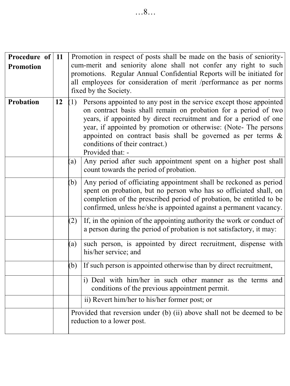| Procedure of<br><b>Promotion</b> | 11 |                                                                                                                                                                                                                                                                                                                                                                                                                | Promotion in respect of posts shall be made on the basis of seniority-<br>cum-merit and seniority alone shall not confer any right to such<br>promotions. Regular Annual Confidential Reports will be initiated for<br>all employees for consideration of merit /performance as per norms<br>fixed by the Society. |  |
|----------------------------------|----|----------------------------------------------------------------------------------------------------------------------------------------------------------------------------------------------------------------------------------------------------------------------------------------------------------------------------------------------------------------------------------------------------------------|--------------------------------------------------------------------------------------------------------------------------------------------------------------------------------------------------------------------------------------------------------------------------------------------------------------------|--|
| Probation                        | 12 | Persons appointed to any post in the service except those appointed<br>(1)<br>on contract basis shall remain on probation for a period of two<br>years, if appointed by direct recruitment and for a period of one<br>year, if appointed by promotion or otherwise: (Note-The persons<br>appointed on contract basis shall be governed as per terms $\&$<br>conditions of their contract.)<br>Provided that: - |                                                                                                                                                                                                                                                                                                                    |  |
|                                  |    | $\left( a\right)$                                                                                                                                                                                                                                                                                                                                                                                              | Any period after such appointment spent on a higher post shall<br>count towards the period of probation.                                                                                                                                                                                                           |  |
|                                  |    | (b)                                                                                                                                                                                                                                                                                                                                                                                                            | Any period of officiating appointment shall be reckoned as period<br>spent on probation, but no person who has so officiated shall, on<br>completion of the prescribed period of probation, be entitled to be<br>confirmed, unless he/she is appointed against a permanent vacancy.                                |  |
|                                  |    | (2)                                                                                                                                                                                                                                                                                                                                                                                                            | If, in the opinion of the appointing authority the work or conduct of<br>a person during the period of probation is not satisfactory, it may:                                                                                                                                                                      |  |
|                                  |    | (a)                                                                                                                                                                                                                                                                                                                                                                                                            | such person, is appointed by direct recruitment, dispense with<br>his/her service; and                                                                                                                                                                                                                             |  |
|                                  |    | (b)                                                                                                                                                                                                                                                                                                                                                                                                            | If such person is appointed otherwise than by direct recruitment,                                                                                                                                                                                                                                                  |  |
|                                  |    |                                                                                                                                                                                                                                                                                                                                                                                                                | i) Deal with him/her in such other manner as the terms and<br>conditions of the previous appointment permit.                                                                                                                                                                                                       |  |
|                                  |    |                                                                                                                                                                                                                                                                                                                                                                                                                | ii) Revert him/her to his/her former post; or                                                                                                                                                                                                                                                                      |  |
|                                  |    |                                                                                                                                                                                                                                                                                                                                                                                                                | Provided that reversion under (b) (ii) above shall not be deemed to be<br>reduction to a lower post.                                                                                                                                                                                                               |  |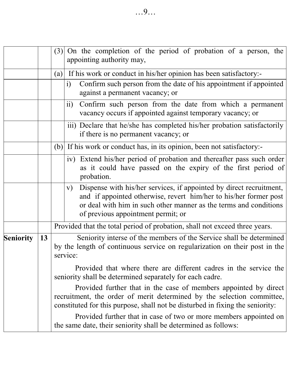|                  |    | $(3)$ On the completion of the period of probation of a person, the<br>appointing authority may,                                                                                                                                                          |  |  |  |  |  |  |
|------------------|----|-----------------------------------------------------------------------------------------------------------------------------------------------------------------------------------------------------------------------------------------------------------|--|--|--|--|--|--|
|                  |    | (a) If his work or conduct in his/her opinion has been satisfactory:-                                                                                                                                                                                     |  |  |  |  |  |  |
|                  |    | Confirm such person from the date of his appointment if appointed<br>$\mathbf{i}$<br>against a permanent vacancy; or                                                                                                                                      |  |  |  |  |  |  |
|                  |    | Confirm such person from the date from which a permanent<br>$\rm ii)$<br>vacancy occurs if appointed against temporary vacancy; or                                                                                                                        |  |  |  |  |  |  |
|                  |    | iii) Declare that he/she has completed his/her probation satisfactorily<br>if there is no permanent vacancy; or                                                                                                                                           |  |  |  |  |  |  |
|                  |    | (b) If his work or conduct has, in its opinion, been not satisfactory:                                                                                                                                                                                    |  |  |  |  |  |  |
|                  |    | iv) Extend his/her period of probation and thereafter pass such order<br>as it could have passed on the expiry of the first period of<br>probation.                                                                                                       |  |  |  |  |  |  |
|                  |    | Dispense with his/her services, if appointed by direct recruitment,<br>V)<br>and if appointed otherwise, revert him/her to his/her former post<br>or deal with him in such other manner as the terms and conditions<br>of previous appointment permit; or |  |  |  |  |  |  |
|                  |    | Provided that the total period of probation, shall not exceed three years.                                                                                                                                                                                |  |  |  |  |  |  |
| <b>Seniority</b> | 13 | Seniority interse of the members of the Service shall be determined<br>by the length of continuous service on regularization on their post in the<br>service:                                                                                             |  |  |  |  |  |  |
|                  |    | Provided that where there are different cadres in the service the<br>seniority shall be determined separately for each cadre.                                                                                                                             |  |  |  |  |  |  |
|                  |    | Provided further that in the case of members appointed by direct<br>recruitment, the order of merit determined by the selection committee,<br>constituted for this purpose, shall not be disturbed in fixing the seniority:                               |  |  |  |  |  |  |
|                  |    | Provided further that in case of two or more members appointed on<br>the same date, their seniority shall be determined as follows:                                                                                                                       |  |  |  |  |  |  |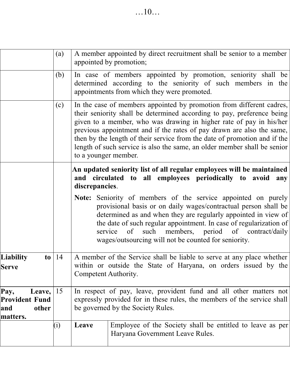|                                                                                                                                                                                     | (a) | A member appointed by direct recruitment shall be senior to a member<br>appointed by promotion;                                                                                                                                                                                                                                                                                                                                                                                 |  |  |
|-------------------------------------------------------------------------------------------------------------------------------------------------------------------------------------|-----|---------------------------------------------------------------------------------------------------------------------------------------------------------------------------------------------------------------------------------------------------------------------------------------------------------------------------------------------------------------------------------------------------------------------------------------------------------------------------------|--|--|
| In case of members appointed by promotion, seniority shall be<br>(b)<br>determined according to the seniority of such members in the<br>appointments from which they were promoted. |     |                                                                                                                                                                                                                                                                                                                                                                                                                                                                                 |  |  |
|                                                                                                                                                                                     | (c) | In the case of members appointed by promotion from different cadres,<br>their seniority shall be determined according to pay, preference being<br>given to a member, who was drawing in higher rate of pay in his/her<br>previous appointment and if the rates of pay drawn are also the same,<br>then by the length of their service from the date of promotion and if the<br>length of such service is also the same, an older member shall be senior<br>to a younger member. |  |  |
|                                                                                                                                                                                     |     | An updated seniority list of all regular employees will be maintained<br>and circulated to all employees periodically to avoid<br>any<br>discrepancies.                                                                                                                                                                                                                                                                                                                         |  |  |
|                                                                                                                                                                                     |     | Note: Seniority of members of the service appointed on purely<br>provisional basis or on daily wages/contractual person shall be<br>determined as and when they are regularly appointed in view of<br>the date of such regular appointment. In case of regularization of<br>such<br>members,<br>period<br>of contract/daily<br>service<br>of<br>wages/outsourcing will not be counted for seniority.                                                                            |  |  |
| <b>Liability</b><br>to<br><b>Serve</b>                                                                                                                                              | 14  | A member of the Service shall be liable to serve at any place whether<br>within or outside the State of Haryana, on orders issued by the<br>Competent Authority.                                                                                                                                                                                                                                                                                                                |  |  |
| Pay,<br>Leave, $ 15$<br><b>Provident Fund</b><br>other<br>and<br>matters.                                                                                                           |     | In respect of pay, leave, provident fund and all other matters not<br>expressly provided for in these rules, the members of the service shall<br>be governed by the Society Rules.                                                                                                                                                                                                                                                                                              |  |  |
|                                                                                                                                                                                     | (i) | Employee of the Society shall be entitled to leave as per<br>Leave<br>Haryana Government Leave Rules.                                                                                                                                                                                                                                                                                                                                                                           |  |  |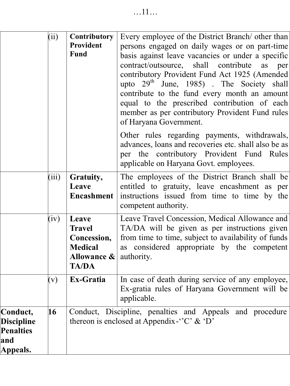|                                                                      | (ii)  | Contributory<br>Provident<br>Fund                                                      | Every employee of the District Branch/ other than<br>persons engaged on daily wages or on part-time<br>basis against leave vacancies or under a specific<br>contract/outsource, shall contribute<br>per<br>as<br>contributory Provident Fund Act 1925 (Amended<br>upto $29th$ June, 1985). The Society shall<br>contribute to the fund every month an amount<br>equal to the prescribed contribution of each<br>member as per contributory Provident Fund rules<br>of Haryana Government.<br>Other rules regarding payments, withdrawals, |
|----------------------------------------------------------------------|-------|----------------------------------------------------------------------------------------|-------------------------------------------------------------------------------------------------------------------------------------------------------------------------------------------------------------------------------------------------------------------------------------------------------------------------------------------------------------------------------------------------------------------------------------------------------------------------------------------------------------------------------------------|
|                                                                      |       |                                                                                        | advances, loans and recoveries etc. shall also be as<br>per the contributory Provident Fund Rules<br>applicable on Haryana Govt. employees.                                                                                                                                                                                                                                                                                                                                                                                               |
|                                                                      | (iii) | Gratuity,<br>Leave<br><b>Encashment</b>                                                | The employees of the District Branch shall be<br>entitled to gratuity, leave encashment as per<br>instructions issued from time to time by the<br>competent authority.                                                                                                                                                                                                                                                                                                                                                                    |
|                                                                      | (iv)  | Leave<br><b>Travel</b><br>Concession,<br><b>Medical</b><br>Allowance &<br><b>TA/DA</b> | Leave Travel Concession, Medical Allowance and<br>TA/DA will be given as per instructions given<br>from time to time, subject to availability of funds<br>as considered appropriate by the competent<br>authority.                                                                                                                                                                                                                                                                                                                        |
|                                                                      | (v)   | Ex-Gratia                                                                              | In case of death during service of any employee,<br>Ex-gratia rules of Haryana Government will be<br>applicable.                                                                                                                                                                                                                                                                                                                                                                                                                          |
| Conduct,<br><b>Discipline</b><br><b>Penalties</b><br>and<br>Appeals. | 16    |                                                                                        | Conduct, Discipline, penalties and Appeals and procedure<br>thereon is enclosed at Appendix-"C" & 'D"                                                                                                                                                                                                                                                                                                                                                                                                                                     |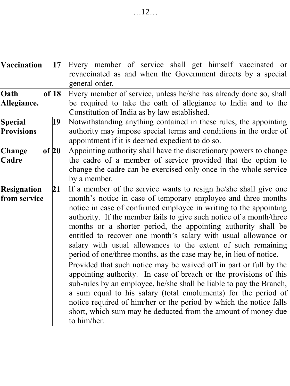| Vaccination<br>17        | Every member of service shall get himself vaccinated or             |
|--------------------------|---------------------------------------------------------------------|
|                          | revaccinated as and when the Government directs by a special        |
|                          | general order.                                                      |
| of $ 18 $<br>Oath        | Every member of service, unless he/she has already done so, shall   |
| Allegiance.              | be required to take the oath of allegiance to India and to the      |
|                          | Constitution of India as by law established.                        |
| <b>Special</b><br>19     | Notwithstanding anything contained in these rules, the appointing   |
| <b>Provisions</b>        | authority may impose special terms and conditions in the order of   |
|                          | appointment if it is deemed expedient to do so.                     |
| of $20$<br>Change        | Appointing authority shall have the discretionary powers to change  |
| Cadre                    | the cadre of a member of service provided that the option to        |
|                          | change the cadre can be exercised only once in the whole service    |
|                          | by a member.                                                        |
| 21<br><b>Resignation</b> | If a member of the service wants to resign he/she shall give one    |
| from service             | month's notice in case of temporary employee and three months       |
|                          | notice in case of confirmed employee in writing to the appointing   |
|                          | authority. If the member fails to give such notice of a month/three |
|                          | months or a shorter period, the appointing authority shall be       |
|                          | entitled to recover one month's salary with usual allowance or      |
|                          | salary with usual allowances to the extent of such remaining        |
|                          | period of one/three months, as the case may be, in lieu of notice.  |
|                          | Provided that such notice may be waived off in part or full by the  |
|                          | appointing authority. In case of breach or the provisions of this   |
|                          | sub-rules by an employee, he/she shall be liable to pay the Branch, |
|                          | a sum equal to his salary (total emoluments) for the period of      |
|                          | notice required of him/her or the period by which the notice falls  |
|                          | short, which sum may be deducted from the amount of money due       |
|                          | to him/her.                                                         |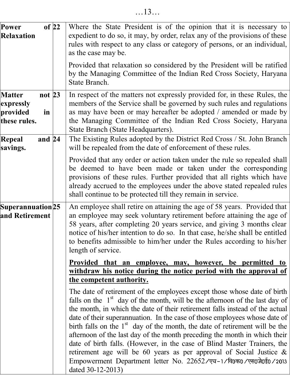| of 22<br>Power<br><b>Relaxation</b>                                      | Where the State President is of the opinion that it is necessary to<br>expedient to do so, it may, by order, relax any of the provisions of these<br>rules with respect to any class or category of persons, or an individual,<br>as the case may be.                                                                                                                                                                                                                                                                                                                                                                                                                                                                                |
|--------------------------------------------------------------------------|--------------------------------------------------------------------------------------------------------------------------------------------------------------------------------------------------------------------------------------------------------------------------------------------------------------------------------------------------------------------------------------------------------------------------------------------------------------------------------------------------------------------------------------------------------------------------------------------------------------------------------------------------------------------------------------------------------------------------------------|
|                                                                          | Provided that relaxation so considered by the President will be ratified<br>by the Managing Committee of the Indian Red Cross Society, Haryana<br>State Branch.                                                                                                                                                                                                                                                                                                                                                                                                                                                                                                                                                                      |
| not $23$<br><b>Matter</b><br>expressly<br>provided<br>in<br>these rules. | In respect of the matters not expressly provided for, in these Rules, the<br>members of the Service shall be governed by such rules and regulations<br>as may have been or may hereafter be adopted / amended or made by<br>the Managing Committee of the Indian Red Cross Society, Haryana<br>State Branch (State Headquarters).                                                                                                                                                                                                                                                                                                                                                                                                    |
| and 24<br>Repeal<br>savings.                                             | The Existing Rules adopted by the District Red Cross / St. John Branch<br>will be repealed from the date of enforcement of these rules.                                                                                                                                                                                                                                                                                                                                                                                                                                                                                                                                                                                              |
|                                                                          | Provided that any order or action taken under the rule so repealed shall<br>be deemed to have been made or taken under the corresponding<br>provisions of these rules. Further provided that all rights which have<br>already accrued to the employees under the above stated repealed rules<br>shall continue to be protected till they remain in service.                                                                                                                                                                                                                                                                                                                                                                          |
| Superannuation 25<br>and Retirement                                      | An employee shall retire on attaining the age of 58 years. Provided that<br>an employee may seek voluntary retirement before attaining the age of<br>58 years, after completing 20 years service, and giving 3 months clear<br>notice of his/her intention to do so. In that case, he/she shall be entitled<br>to benefits admissible to him/her under the Rules according to his/her<br>length of service.                                                                                                                                                                                                                                                                                                                          |
|                                                                          | <u>Provided that an employee, may, however, be permitted to</u><br>withdraw his notice during the notice period with the approval of<br>the competent authority.                                                                                                                                                                                                                                                                                                                                                                                                                                                                                                                                                                     |
|                                                                          | The date of retirement of the employees except those whose date of birth<br>falls on the $1st$ day of the month, will be the afternoon of the last day of<br>the month, in which the date of their retirement falls instead of the actual<br>date of their superannuation. In the case of those employees whose date of<br>birth falls on the $1st$ day of the month, the date of retirement will be the<br>afternoon of the last day of the month preceding the month in which their<br>date of birth falls. (However, in the case of Blind Master Trainers, the<br>retirement age will be 60 years as per approval of Social Justice $\&$<br>Empowerment Department letter No. 22652/एच-1/वि0क0/एस0जे0ई0/2013<br>dated 30-12-2013) |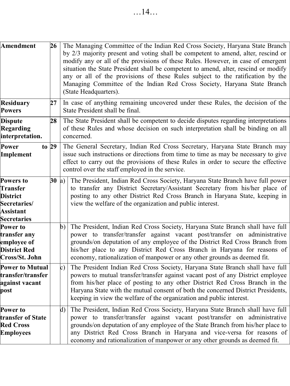| <b>Amendment</b>                                                                                           | 26      | The Managing Committee of the Indian Red Cross Society, Haryana State Branch<br>by 2/3 majority present and voting shall be competent to amend, alter, rescind or<br>modify any or all of the provisions of these Rules. However, in case of emergent<br>situation the State President shall be competent to amend, alter, rescind or modify<br>any or all of the provisions of these Rules subject to the ratification by the<br>Managing Committee of the Indian Red Cross Society, Haryana State Branch<br>(State Headquarters). |  |  |  |  |  |  |  |  |
|------------------------------------------------------------------------------------------------------------|---------|-------------------------------------------------------------------------------------------------------------------------------------------------------------------------------------------------------------------------------------------------------------------------------------------------------------------------------------------------------------------------------------------------------------------------------------------------------------------------------------------------------------------------------------|--|--|--|--|--|--|--|--|
| Residuary<br><b>Powers</b>                                                                                 | 27      | In case of anything remaining uncovered under these Rules, the decision of the<br>State President shall be final.                                                                                                                                                                                                                                                                                                                                                                                                                   |  |  |  |  |  |  |  |  |
| <b>Dispute</b><br>Regarding<br>interpretation.                                                             | 28      | The State President shall be competent to decide disputes regarding interpretations<br>of these Rules and whose decision on such interpretation shall be binding on all<br>concerned.                                                                                                                                                                                                                                                                                                                                               |  |  |  |  |  |  |  |  |
| Power<br>Implement                                                                                         | to $29$ | The General Secretary, Indian Red Cross Secretary, Haryana State Branch may<br>issue such instructions or directions from time to time as may be necessary to give<br>effect to carry out the provisions of these Rules in order to secure the effective<br>control over the staff employed in the service.                                                                                                                                                                                                                         |  |  |  |  |  |  |  |  |
| <b>Powers to</b><br><b>Transfer</b><br>District<br>Secretaries/<br>Assistant<br><b>Secretaries</b>         | 30 a)   | The President, Indian Red Cross Society, Haryana State Branch have full power<br>to transfer any District Secretary/Assistant Secretary from his/her place of<br>posting to any other District Red Cross Branch in Haryana State, keeping in<br>view the welfare of the organization and public interest.                                                                                                                                                                                                                           |  |  |  |  |  |  |  |  |
| Power to<br>transfer any<br>employee of<br><b>District Red</b><br>Cross/St. John<br><b>Power to Mutual</b> |         | The President, Indian Red Cross Society, Haryana State Branch shall have full<br>b)<br>power to transfer/transfer against vacant post/transfer on administrative<br>grounds/on deputation of any employee of the District Red Cross Branch from<br>his/her place to any District Red Cross Branch in Haryana for reasons of<br>economy, rationalization of manpower or any other grounds as deemed fit.<br>The President Indian Red Cross Society, Haryana State Branch shall have full<br> c)                                      |  |  |  |  |  |  |  |  |
| transfer/transfer<br>against vacant<br>post                                                                |         | powers to mutual transfer/transfer against vacant post of any District employee<br>from his/her place of posting to any other District Red Cross Branch in the<br>Haryana State with the mutual consent of both the concerned District Presidents,<br>keeping in view the welfare of the organization and public interest.                                                                                                                                                                                                          |  |  |  |  |  |  |  |  |
| Power to<br>transfer of State<br><b>Red Cross</b><br><b>Employees</b>                                      |         | The President, Indian Red Cross Society, Haryana State Branch shall have full<br>$\mathbf{d}$<br>power to transfer/transfer against vacant post/transfer on administrative<br>grounds/on deputation of any employee of the State Branch from his/her place to<br>any District Red Cross Branch in Haryana and vice-versa for reasons of                                                                                                                                                                                             |  |  |  |  |  |  |  |  |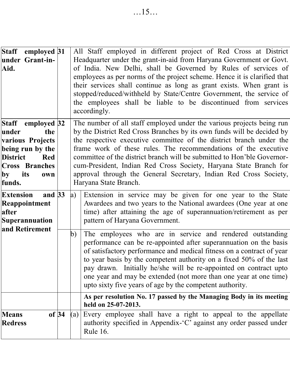| employed 31<br><b>Staff</b><br>under Grant-in-<br>Aid.                                                                                                     |     | All Staff employed in different project of Red Cross at District<br>Headquarter under the grant-in-aid from Haryana Government or Govt.<br>of India. New Delhi, shall be Governed by Rules of services of<br>employees as per norms of the project scheme. Hence it is clarified that<br>their services shall continue as long as grant exists. When grant is<br>stopped/reduced/withheld by State/Centre Government, the service of<br>the employees shall be liable to be discontinued from services<br>accordingly.                  |  |  |  |  |  |  |  |
|------------------------------------------------------------------------------------------------------------------------------------------------------------|-----|-----------------------------------------------------------------------------------------------------------------------------------------------------------------------------------------------------------------------------------------------------------------------------------------------------------------------------------------------------------------------------------------------------------------------------------------------------------------------------------------------------------------------------------------|--|--|--|--|--|--|--|
| Staff employed 32<br>under<br>the<br>various Projects<br>being run by the<br><b>District</b><br>Red<br><b>Cross Branches</b><br>its<br>by<br>own<br>funds. |     | The number of all staff employed under the various projects being run<br>by the District Red Cross Branches by its own funds will be decided by<br>the respective executive committee of the district branch under the<br>frame work of these rules. The recommendations of the executive<br>committee of the district branch will be submitted to Hon'ble Governor-<br>cum-President, Indian Red Cross Society, Haryana State Branch for<br>approval through the General Secretary, Indian Red Cross Society,<br>Haryana State Branch. |  |  |  |  |  |  |  |
| and $33$<br><b>Extension</b><br>Reappointment<br>after<br>Superannuation                                                                                   | a)  | Extension in service may be given for one year to the State<br>Awardees and two years to the National awardees (One year at one<br>time) after attaining the age of superannuation/retirement as per<br>pattern of Haryana Government.                                                                                                                                                                                                                                                                                                  |  |  |  |  |  |  |  |
| and Retirement                                                                                                                                             | b)  | The employees who are in service and rendered outstanding<br>performance can be re-appointed after superannuation on the basis<br>of satisfactory performance and medical fitness on a contract of year<br>to year basis by the competent authority on a fixed 50% of the last<br>pay drawn. Initially he/she will be re-appointed on contract upto<br>one year and may be extended (not more than one year at one time)<br>upto sixty five years of age by the competent authority.                                                    |  |  |  |  |  |  |  |
|                                                                                                                                                            |     | As per resolution No. 17 passed by the Managing Body in its meeting<br>held on 25-07-2013.                                                                                                                                                                                                                                                                                                                                                                                                                                              |  |  |  |  |  |  |  |
| of 34<br><b>Means</b><br><b>Redress</b>                                                                                                                    | (a) | Every employee shall have a right to appeal to the appellate<br>authority specified in Appendix-'C' against any order passed under<br><b>Rule 16.</b>                                                                                                                                                                                                                                                                                                                                                                                   |  |  |  |  |  |  |  |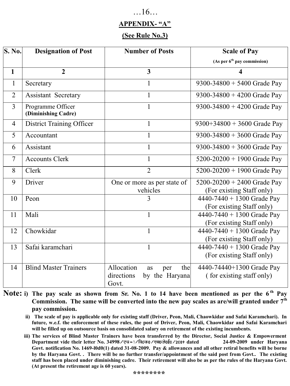#### …16…

#### **APPENDIX- "A"**

#### **(See Rule No.3)**

| S. No.         | <b>Designation of Post</b>               | <b>Number of Posts</b>                                                  | <b>Scale of Pay</b>                                          |
|----------------|------------------------------------------|-------------------------------------------------------------------------|--------------------------------------------------------------|
|                |                                          |                                                                         | (As per 6 <sup>th</sup> pay commission)                      |
| 1              | $\mathbf{2}$                             | 3                                                                       | 4                                                            |
| $\mathbf{1}$   | Secretary                                | 1                                                                       | 9300-34800 + 5400 Grade Pay                                  |
| $\overline{2}$ | <b>Assistant Secretary</b>               | 1                                                                       | 9300-34800 + 4200 Grade Pay                                  |
| 3              | Programme Officer<br>(Diminishing Cadre) | 1                                                                       | 9300-34800 + 4200 Grade Pay                                  |
| 4              | District Training Officer                | 1                                                                       | $9300+34800 + 3600$ Grade Pay                                |
| 5              | Accountant                               | 1                                                                       | 9300-34800 + 3600 Grade Pay                                  |
| 6              | Assistant                                | 1                                                                       | 9300-34800 + 3600 Grade Pay                                  |
| 7              | <b>Accounts Clerk</b>                    | 1                                                                       | $5200 - 20200 + 1900$ Grade Pay                              |
| 8              | Clerk                                    | $\overline{2}$                                                          | 5200-20200 + 1900 Grade Pay                                  |
| 9              | Driver                                   | One or more as per state of<br>vehicles                                 | $5200 - 20200 + 2400$ Grade Pay<br>(For existing Staff only) |
| 10             | Peon                                     | 3                                                                       | 4440-7440 + 1300 Grade Pay<br>(For existing Staff only)      |
| 11             | Mali                                     | 1                                                                       | 4440-7440 + 1300 Grade Pay<br>(For existing Staff only)      |
| 12             | Chowkidar                                | 1                                                                       | 4440-7440 + 1300 Grade Pay<br>(For existing Staff only)      |
| 13             | Safai karamchari                         | 1                                                                       | 4440-7440 + 1300 Grade Pay<br>(For existing Staff only)      |
| 14             | <b>Blind Master Trainers</b>             | Allocation<br>the<br>as<br>per<br>directions<br>by the Haryana<br>Govt. | 4440-74440+1300 Grade Pay<br>(for existing staff only)       |

- **Note: i) The pay scale as shown from Sr. No. 1 to 14 have been mentioned as per the 6 th Pay Commission. The same will be converted into the new pay scales as are/will granted under 7 th pay commission.** 
	- **ii) The scale of pay is applicable only for existing staff (Driver, Peon, Mali, Chaowkidar and Safai Karamchari). In future, w.e.f. the enforcement of these rules, the post of Driver, Peon, Mali, Chaowkidar and Safai Karamchari will be filled up on outsource basis on consolidated salary on retirement of the existing incumbents.**
	- **iii) The services of Blind Master Trainers have been transferred by the Director, Social Justice & Empowerment Department vide their letter No. 34998 dated 24-09-2009 under Haryana Govt. notification No. 1469-l0d0(1) dated 31-08-2009. Pay & allowances and all other retiral benefits will be borne by the Haryana Govt. . There will be no further transfer/appointment of the said post from Govt.. The existing staff has been placed under diminishing cadre. Their retirement will also be as per the rules of the Haryana Govt. (At present the retirement age is 60 years).**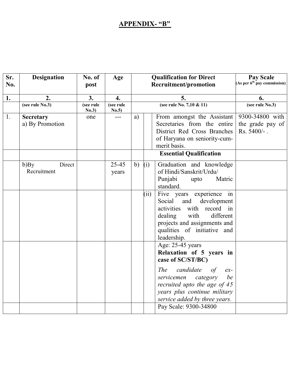#### **APPENDIX- "B"**

| Sr.<br>No. | <b>Designation</b>            | No. of<br>post     | Age                |           | <b>Qualification for Direct</b><br>Recruitment/promotion                                                                                                                                                                                                              | Pay Scale<br>As per 6 <sup>th</sup> pay commission)  |
|------------|-------------------------------|--------------------|--------------------|-----------|-----------------------------------------------------------------------------------------------------------------------------------------------------------------------------------------------------------------------------------------------------------------------|------------------------------------------------------|
| 1.         | 2.                            | 3.                 | 4.                 |           | 5.                                                                                                                                                                                                                                                                    | 6.                                                   |
|            | (see rule No.3)               | (see rule<br>No.3) | (see rule<br>No.5) |           | (see rule No. 7,10 & 11)                                                                                                                                                                                                                                              | (see rule $No.3$ )                                   |
| 1.         | Secretary<br>a) By Promotion  | one                | ---                | a)        | From amongst the Assistant<br>Secretaries from the entire<br>District Red Cross Branches<br>of Haryana on seniority-cum-<br>merit basis.<br><b>Essential Qualification</b>                                                                                            | 9300-34800 with<br>the grade pay of<br>$Rs. 5400/-.$ |
|            |                               |                    |                    |           |                                                                                                                                                                                                                                                                       |                                                      |
|            | Direct<br>b)By<br>Recruitment |                    | 25-45<br>years     | (i)<br>b) | Graduation and knowledge<br>of Hindi/Sanskrit/Urdu/<br>Punjabi<br>Matric<br>upto<br>standard.                                                                                                                                                                         |                                                      |
|            |                               |                    |                    |           | Five years experience in<br>(ii)<br>development<br>Social<br>and<br>record in<br>activities<br>with<br>with<br>dealing<br>different<br>projects and assignments and<br>qualities of initiative and<br>leadership.                                                     |                                                      |
|            |                               |                    |                    |           | Age: 25-45 years<br>Relaxation of 5 years in<br>case of SC/ST/BC)<br>candidate<br><b>The</b><br>of<br>$ex-$<br>servicemen<br>category<br>be<br>recruited upto the age of 45<br>years plus continue military<br>service added by three years.<br>Pay Scale: 9300-34800 |                                                      |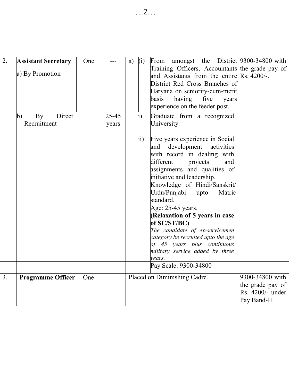| $\overline{2}$ . | <b>Assistant Secretary</b><br>a) By Promotion<br>Direct<br>By<br>b)<br>Recruitment | One | $25 - 45$<br>years | a) | (i)<br>i) | From amongst the District 9300-34800 with<br>Training Officers, Accountants the grade pay of<br>and Assistants from the entire Rs. 4200/-.<br>District Red Cross Branches of<br>Haryana on seniority-cum-merit<br>having five<br>basis<br>years<br>experience on the feeder post.<br>Graduate from a recognized<br>University. |                                                                         |
|------------------|------------------------------------------------------------------------------------|-----|--------------------|----|-----------|--------------------------------------------------------------------------------------------------------------------------------------------------------------------------------------------------------------------------------------------------------------------------------------------------------------------------------|-------------------------------------------------------------------------|
|                  |                                                                                    |     |                    |    | ii)       | Five years experience in Social<br>and development activities<br>with record in dealing with<br>different<br>projects<br>and<br>assignments and qualities of<br>initiative and leadership.                                                                                                                                     |                                                                         |
|                  |                                                                                    |     |                    |    |           | Knowledge of Hindi/Sanskrit/<br>Urdu/Punjabi<br>upto<br>Matric<br>standard.                                                                                                                                                                                                                                                    |                                                                         |
|                  |                                                                                    |     |                    |    |           | Age: 25-45 years.<br>(Relaxation of 5 years in case<br>of SC/ST/BC)<br>The candidate of ex-servicemen<br>category be recruited upto the age<br>of 45 years plus continuous<br>military service added by three<br>vears.                                                                                                        |                                                                         |
|                  |                                                                                    |     |                    |    |           | Pay Scale: 9300-34800                                                                                                                                                                                                                                                                                                          |                                                                         |
| $\overline{3}$ . | <b>Programme Officer</b>                                                           | One |                    |    |           | Placed on Diminishing Cadre.                                                                                                                                                                                                                                                                                                   | 9300-34800 with<br>the grade pay of<br>Rs. 4200/- under<br>Pay Band-II. |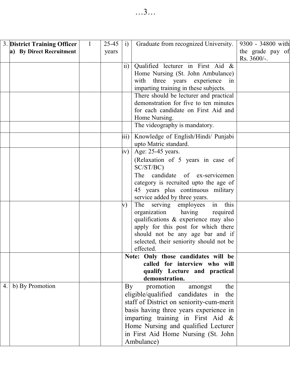| 3. District Training Officer | 1 | 25-45 | i)                                       | Graduate from recognized University.                                | 9300 - 34800 with |
|------------------------------|---|-------|------------------------------------------|---------------------------------------------------------------------|-------------------|
| a) By Direct Recruitment     |   | years |                                          |                                                                     | the grade pay of  |
|                              |   |       |                                          |                                                                     | Rs. 3600/-.       |
|                              |   |       | $\overline{ii}$                          | Qualified lecturer in First Aid &                                   |                   |
|                              |   |       |                                          | Home Nursing (St. John Ambulance)                                   |                   |
|                              |   |       |                                          | three<br>years<br>experience<br>with<br>in                          |                   |
|                              |   |       |                                          | imparting training in these subjects.                               |                   |
|                              |   |       |                                          | There should be lecturer and practical                              |                   |
|                              |   |       |                                          | demonstration for five to ten minutes                               |                   |
|                              |   |       |                                          | for each candidate on First Aid and                                 |                   |
|                              |   |       |                                          | Home Nursing.                                                       |                   |
|                              |   |       |                                          | The videography is mandatory.                                       |                   |
|                              |   |       | iii)                                     | Knowledge of English/Hindi/ Punjabi                                 |                   |
|                              |   |       |                                          | upto Matric standard.                                               |                   |
|                              |   |       | iv)                                      | Age: 25-45 years.                                                   |                   |
|                              |   |       |                                          | (Relaxation of 5 years in case of                                   |                   |
|                              |   |       |                                          | SC/ST/BC)                                                           |                   |
|                              |   |       |                                          | candidate<br>The<br>ex-servicemen<br>of                             |                   |
|                              |   |       |                                          | category is recruited upto the age of                               |                   |
|                              |   |       |                                          | 45 years plus continuous military                                   |                   |
|                              |   |       |                                          | service added by three years.                                       |                   |
|                              |   |       | V)                                       | this<br>The<br>serving<br>employees<br>in                           |                   |
|                              |   |       |                                          | organization<br>having<br>required                                  |                   |
|                              |   |       |                                          | qualifications & experience may also                                |                   |
|                              |   |       | apply for this post for which there      |                                                                     |                   |
|                              |   |       |                                          | should not be any age bar and if                                    |                   |
|                              |   |       |                                          | selected, their seniority should not be                             |                   |
|                              |   |       |                                          | effected.                                                           |                   |
|                              |   |       |                                          | Note: Only those candidates will be                                 |                   |
|                              |   |       |                                          | called for interview who will                                       |                   |
|                              |   |       |                                          | qualify Lecture and practical                                       |                   |
|                              |   |       |                                          | demonstration.                                                      |                   |
| b) By Promotion<br>4.        |   |       | By                                       | promotion<br>amongst<br>the<br>eligible/qualified candidates in the |                   |
|                              |   |       |                                          |                                                                     |                   |
|                              |   |       | staff of District on seniority-cum-merit |                                                                     |                   |
|                              |   |       | basis having three years experience in   |                                                                     |                   |
|                              |   |       | imparting training in First Aid &        |                                                                     |                   |
|                              |   |       |                                          | Home Nursing and qualified Lecturer                                 |                   |
|                              |   |       |                                          | in First Aid Home Nursing (St. John                                 |                   |
|                              |   |       | Ambulance)                               |                                                                     |                   |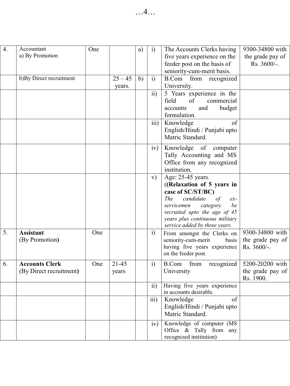| $\overline{4}$ . | Accountant<br>a) By Promotion                    | One |                     | a) | i)               | The Accounts Clerks having<br>five years experience on the                                                                                                                                                                                 | 9300-34800 with<br>the grade pay of                  |
|------------------|--------------------------------------------------|-----|---------------------|----|------------------|--------------------------------------------------------------------------------------------------------------------------------------------------------------------------------------------------------------------------------------------|------------------------------------------------------|
|                  |                                                  |     |                     |    |                  | feeder post on the basis of<br>seniority-cum-merit basis.                                                                                                                                                                                  | Rs. 3600/-.                                          |
|                  | b) By Direct recruitment                         |     | $25 - 45$<br>years. | b) | $\mathbf{i}$     | <b>B.Com</b><br>from recognized<br>University.                                                                                                                                                                                             |                                                      |
|                  |                                                  |     |                     |    | $\rm ii)$        | 5 Years experience in the<br>field<br>of<br>commercial<br>accounts<br>and<br>budget<br>formulation.                                                                                                                                        |                                                      |
|                  |                                                  |     |                     |    | iii)             | Knowledge<br>of<br>English/Hindi / Punjabi upto<br>Matric Standard.                                                                                                                                                                        |                                                      |
|                  |                                                  |     |                     |    | iv)              | Knowledge<br>of<br>computer<br>Tally Accounting and MS<br>Office from any recognized<br>institution.                                                                                                                                       |                                                      |
|                  |                                                  |     |                     |    | V)               | Age: 25-45 years.<br>((Relaxation of 5 years in<br>case of SC/ST/BC)<br>The<br>candidate<br>of<br>$ex-$<br>be<br>servicemen<br>category<br>recruited upto the age of 45<br>years plus continuous military<br>service added by three years. |                                                      |
| 5.               | <b>Assistant</b><br>(By Promotion)               | One |                     |    | $\ddot{1}$       | From amongst the Clerks on<br>seniority-cum-merit<br>basis<br>having five years experience<br>on the feeder post.                                                                                                                          | 9300-34800 with<br>the grade pay of<br>$Rs. 3600/-.$ |
| 6.               | <b>Accounts Clerk</b><br>(By Direct recruitment) | One | $21 - 45$<br>years  |    | i)               | <b>B.Com</b><br>from<br>recognized<br>University                                                                                                                                                                                           | 5200-20200 with<br>the grade pay of<br>Rs. 1900.     |
|                  |                                                  |     |                     |    | $\overline{ii}$  | Having five years experience<br>in accounts desirable.                                                                                                                                                                                     |                                                      |
|                  |                                                  |     |                     |    | $\overline{iii}$ | Knowledge<br>of<br>English/Hindi / Punjabi upto<br>Matric Standard.                                                                                                                                                                        |                                                      |
|                  |                                                  |     |                     |    | iv)              | Knowledge of computer (MS<br>Office $\&$ Tally from any<br>recognized institution)                                                                                                                                                         |                                                      |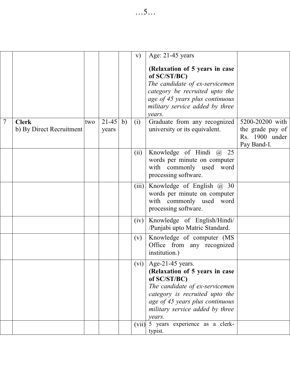|                |                                          |     |                    |    | V)    | Age: 21-45 years<br>(Relaxation of 5 years in case<br>of SC/ST/BC)<br>The candidate of ex-servicemen<br>category be recruited upto the<br>age of 45 years plus continuous<br>military service added by three           |                                                                      |
|----------------|------------------------------------------|-----|--------------------|----|-------|------------------------------------------------------------------------------------------------------------------------------------------------------------------------------------------------------------------------|----------------------------------------------------------------------|
|                |                                          |     |                    |    |       | vears.                                                                                                                                                                                                                 |                                                                      |
| $\overline{7}$ | <b>Clerk</b><br>b) By Direct Recruitment | two | $21 - 45$<br>years | b) | (i)   | Graduate from any recognized<br>university or its equivalent.                                                                                                                                                          | 5200-20200 with<br>the grade pay of<br>Rs. 1900 under<br>Pay Band-I. |
|                |                                          |     |                    |    | (ii)  | Knowledge of Hindi @<br>25<br>words per minute on computer<br>with commonly used word<br>processing software.                                                                                                          |                                                                      |
|                |                                          |     |                    |    | (iii) | Knowledge of English $(a)$ 30<br>words per minute on computer<br>with commonly used word<br>processing software.                                                                                                       |                                                                      |
|                |                                          |     |                    |    | (iv)  | Knowledge of English/Hindi/<br>/Punjabi upto Matric Standard.                                                                                                                                                          |                                                                      |
|                |                                          |     |                    |    | (v)   | Knowledge of computer (MS<br>Office from any recognized<br>institution.)                                                                                                                                               |                                                                      |
|                |                                          |     |                    |    | (vi)  | Age-21-45 years.<br>(Relaxation of 5 years in case<br>of SC/ST/BC)<br>The candidate of ex-servicemen<br>category is recruited upto the<br>age of 45 years plus continuous<br>military service added by three<br>vears. |                                                                      |
|                |                                          |     |                    |    | (vii) | 5 years experience as a clerk-<br>typist.                                                                                                                                                                              |                                                                      |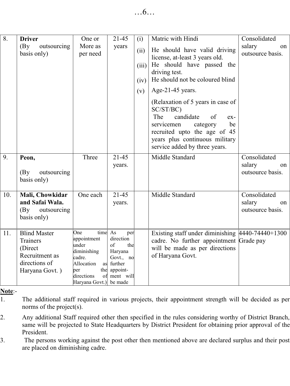| 8.  | <b>Driver</b><br>(Bv)<br>outsourcing<br>basis only)                                                    | One or<br>More as<br>per need                                                                                                             | 21-45<br>years                                                                               | (i)<br>(ii)<br>(iii)<br>(iv)<br>(v) | Matric with Hindi<br>He should have valid driving<br>license, at-least 3 years old.<br>He should have passed the<br>driving test.<br>He should not be coloured blind<br>Age-21-45 years.<br>(Relaxation of 5 years in case of<br>SC/ST/BC)<br>The<br>candidate<br>of<br>$ex-$<br>be<br>servicemen<br>category | Consolidated<br>salary<br>on<br>outsource basis. |
|-----|--------------------------------------------------------------------------------------------------------|-------------------------------------------------------------------------------------------------------------------------------------------|----------------------------------------------------------------------------------------------|-------------------------------------|---------------------------------------------------------------------------------------------------------------------------------------------------------------------------------------------------------------------------------------------------------------------------------------------------------------|--------------------------------------------------|
|     |                                                                                                        |                                                                                                                                           |                                                                                              |                                     | recruited upto the age of 45<br>years plus continuous military<br>service added by three years.                                                                                                                                                                                                               |                                                  |
| 9.  | Peon,<br>outsourcing<br>(By<br>basis only)                                                             | Three                                                                                                                                     | $21 - 45$<br>years.                                                                          |                                     | Middle Standard                                                                                                                                                                                                                                                                                               | Consolidated<br>salary<br>on<br>outsource basis. |
| 10. | Mali, Chowkidar<br>and Safai Wala.<br>(Bv)<br>outsourcing<br>basis only)                               | One each                                                                                                                                  | $21-45$<br>years.                                                                            |                                     | Middle Standard                                                                                                                                                                                                                                                                                               | Consolidated<br>salary<br>on<br>outsource basis. |
| 11. | <b>Blind Master</b><br><b>Trainers</b><br>(Direct<br>Recruitment as<br>directions of<br>Haryana Govt.) | One<br>time As<br>appointment<br>under<br>diminishing<br>cadre.<br>Allocation<br>as<br>the<br>per<br>directions<br>Haryana Govt.) be made | per<br>direction<br>of<br>the<br>Haryana<br>Govt., no<br>further<br>appoint-<br>of ment will |                                     | Existing staff under diminishing $ 4440-74440+1300 $<br>cadre. No further appointment Grade pay<br>will be made as per directions<br>of Haryana Govt.                                                                                                                                                         |                                                  |

#### **Note**:-

1. The additional staff required in various projects, their appointment strength will be decided as per norms of the project(s).

2. Any additional Staff required other then specified in the rules considering worthy of District Branch, same will be projected to State Headquarters by District President for obtaining prior approval of the President.

3. The persons working against the post other then mentioned above are declared surplus and their post are placed on diminishing cadre.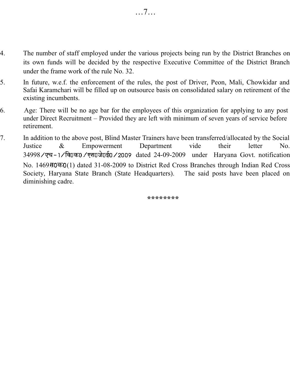- 4. The number of staff employed under the various projects being run by the District Branches on its own funds will be decided by the respective Executive Committee of the District Branch under the frame work of the rule No. 32.
- 5. In future, w.e.f. the enforcement of the rules, the post of Driver, Peon, Mali, Chowkidar and Safai Karamchari will be filled up on outsource basis on consolidated salary on retirement of the existing incumbents.
- 6. Age: There will be no age bar for the employees of this organization for applying to any post under Direct Recruitment – Provided they are left with minimum of seven years of service before retirement.
- 7. In addition to the above post, Blind Master Trainers have been transferred/allocated by the Social Justice & Empowerment Department vide their letter No. 34998/एच-1/वि0क0/एस0जे0ई0/2009 dated 24-09-2009 under Haryana Govt. notification No. 1469 (1) dated 31-08-2009 to District Red Cross Branches through Indian Red Cross Society, Haryana State Branch (State Headquarters). The said posts have been placed on diminishing cadre.

**\*\*\*\*\*\*\*\***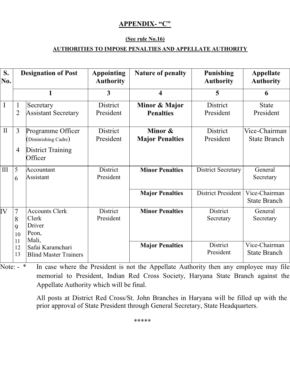#### **APPENDIX- "C"**

#### **(See rule No.16)**

#### **AUTHORITIES TO IMPOSE PENALTIES AND APPELLATE AUTHORITY**

| S.<br>No.    | <b>Designation of Post</b>    |                                                                                |                              |                                                  | <b>Appointing</b><br><b>Authority</b>                        | Nature of penalty                                            | Punishing<br><b>Authority</b> | Appellate<br><b>Authority</b> |
|--------------|-------------------------------|--------------------------------------------------------------------------------|------------------------------|--------------------------------------------------|--------------------------------------------------------------|--------------------------------------------------------------|-------------------------------|-------------------------------|
|              |                               | 1                                                                              | 3                            | 4                                                | 5                                                            | 6                                                            |                               |                               |
| $\mathbf{I}$ | 1<br>$\overline{2}$           | Secretary<br><b>Assistant Secretary</b>                                        | District<br>President        | Minor & Major<br><b>Penalties</b>                | District<br>President                                        | <b>State</b><br>President                                    |                               |                               |
| $\mathbf{I}$ | 3<br>$\overline{4}$           | Programme Officer<br>Diminishing Cadre)<br><b>District Training</b><br>Officer | <b>District</b><br>President | Minor &<br><b>Major Penalties</b>                | <b>District</b><br>President                                 | Vice-Chairman<br><b>State Branch</b>                         |                               |                               |
| $\rm III$    | 5<br>6                        | Accountant<br>Assistant                                                        | District<br>President        | <b>Minor Penalties</b>                           | District Secretary                                           | General<br>Secretary                                         |                               |                               |
|              |                               |                                                                                |                              | <b>Major Penalties</b>                           | District President                                           | Vice-Chairman<br><b>State Branch</b>                         |                               |                               |
| IV           | 7<br>8<br>9<br>10<br>11<br>12 | <b>Accounts Clerk</b><br>Clerk<br>Driver<br>Peon,<br>Mali,<br>Safai Karamchari | District<br>President        | <b>Minor Penalties</b><br><b>Major Penalties</b> | <b>District</b><br>Secretary<br><b>District</b><br>President | General<br>Secretary<br>Vice-Chairman<br><b>State Branch</b> |                               |                               |
|              | 13                            | <b>Blind Master Trainers</b>                                                   |                              |                                                  |                                                              |                                                              |                               |                               |

Note: - \* In case where the President is not the Appellate Authority then any employee may file memorial to President, Indian Red Cross Society, Haryana State Branch against the Appellate Authority which will be final.

> All posts at District Red Cross/St. John Branches in Haryana will be filled up with the prior approval of State President through General Secretary, State Headquarters.

> > \*\*\*\*\*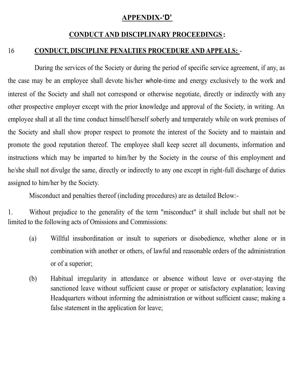#### **APPENDIX-'D'**

#### **CONDUCT AND DISCIPLINARY PROCEEDINGS :**

#### 16 **CONDUCT, DISCIPLINE PENALTIES PROCEDURE AND APPEALS:** -

During the services of the Society or during the period of specific service agreement, if any, as the case may be an employee shall devote his/her whole-time and energy exclusively to the work and interest of the Society and shall not correspond or otherwise negotiate, directly or indirectly with any other prospective employer except with the prior knowledge and approval of the Society, in writing. An employee shall at all the time conduct himself/herself soberly and temperately while on work premises of the Society and shall show proper respect to promote the interest of the Society and to maintain and promote the good reputation thereof. The employee shall keep secret all documents, information and instructions which may be imparted to him/her by the Society in the course of this employment and he/she shall not divulge the same, directly or indirectly to any one except in right-full discharge of duties assigned to him/her by the Society.

Misconduct and penalties thereof (including procedures) are as detailed Below:-

1. Without prejudice to the generality of the term "misconduct" it shall include but shall not be limited to the following acts of Omissions and Commissions:

- (a) Willful insubordination or insult to superiors or disobedience, whether alone or in combination with another or others, of lawful and reasonable orders of the administration or of a superior;
- (b) Habitual irregularity in attendance or absence without leave or over-staying the sanctioned leave without sufficient cause or proper or satisfactory explanation; leaving Headquarters without informing the administration or without sufficient cause; making a false statement in the application for leave;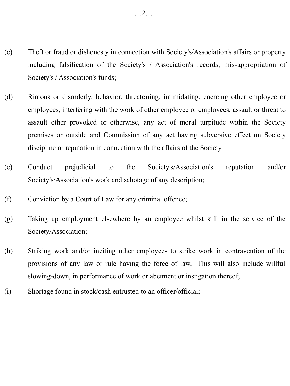- (c) Theft or fraud or dishonesty in connection with Society's/Association's affairs or property including falsification of the Society's / Association's records, mis-appropriation of Society's / Association's funds;
- (d) Riotous or disorderly, behavior, threatening, intimidating, coercing other employee or employees, interfering with the work of other employee or employees, assault or threat to assault other provoked or otherwise, any act of moral turpitude within the Society premises or outside and Commission of any act having subversive effect on Society discipline or reputation in connection with the affairs of the Society.
- (e) Conduct prejudicial to the Society's/Association's reputation and/or Society's/Association's work and sabotage of any description;
- (f) Conviction by a Court of Law for any criminal offence;
- (g) Taking up employment elsewhere by an employee whilst still in the service of the Society/Association;
- (h) Striking work and/or inciting other employees to strike work in contravention of the provisions of any law or rule having the force of law. This will also include willful slowing-down, in performance of work or abetment or instigation thereof;
- (i) Shortage found in stock/cash entrusted to an officer/official;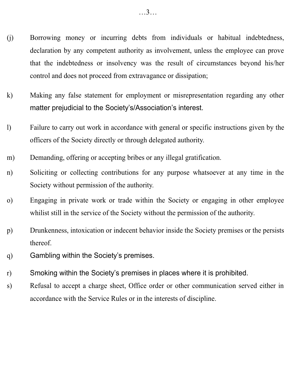- (j) Borrowing money or incurring debts from individuals or habitual indebtedness, declaration by any competent authority as involvement, unless the employee can prove that the indebtedness or insolvency was the result of circumstances beyond his/her control and does not proceed from extravagance or dissipation;
- k) Making any false statement for employment or misrepresentation regarding any other matter prejudicial to the Society's/Association's interest.
- l) Failure to carry out work in accordance with general or specific instructions given by the officers of the Society directly or through delegated authority.
- m) Demanding, offering or accepting bribes or any illegal gratification.
- n) Soliciting or collecting contributions for any purpose whatsoever at any time in the Society without permission of the authority.
- o) Engaging in private work or trade within the Society or engaging in other employee whilist still in the service of the Society without the permission of the authority.
- p) Drunkenness, intoxication or indecent behavior inside the Society premises or the persists thereof.
- q) Gambling within the Society's premises.
- r) Smoking within the Society's premises in places where it is prohibited.
- s) Refusal to accept a charge sheet, Office order or other communication served either in accordance with the Service Rules or in the interests of discipline.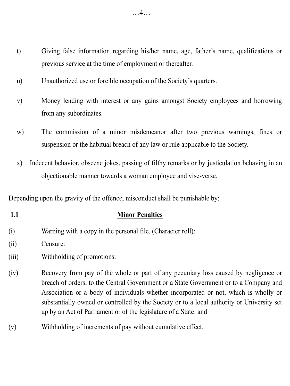- t) Giving false information regarding his/her name, age, father's name, qualifications or previous service at the time of employment or thereafter.
- u) Unauthorized use or forcible occupation of the Society's quarters.
- v) Money lending with interest or any gains amongst Society employees and borrowing from any subordinates.
- w) The commission of a minor misdemeanor after two previous warnings, fines or suspension or the habitual breach of any law or rule applicable to the Society.
- x) Indecent behavior, obscene jokes, passing of filthy remarks or by justiculation behaving in an objectionable manner towards a woman employee and vise-verse.

Depending upon the gravity of the offence, misconduct shall be punishable by:

## **1.1 Minor Penalties**

- (i) Warning with a copy in the personal file. (Character roll):
- (ii) Censure:
- (iii) Withholding of promotions:
- (iv) Recovery from pay of the whole or part of any pecuniary loss caused by negligence or breach of orders, to the Central Government or a State Government or to a Company and Association or a body of individuals whether incorporated or not, which is wholly or substantially owned or controlled by the Society or to a local authority or University set up by an Act of Parliament or of the legislature of a State: and
- (v) Withholding of increments of pay without cumulative effect.

…4…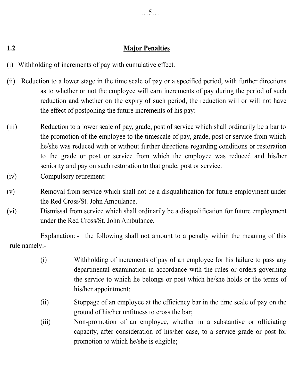#### **1.2 Major Penalties**

- (i) Withholding of increments of pay with cumulative effect.
- (ii) Reduction to a lower stage in the time scale of pay or a specified period, with further directions as to whether or not the employee will earn increments of pay during the period of such reduction and whether on the expiry of such period, the reduction will or will not have the effect of postponing the future increments of his pay:
- (iii) Reduction to a lower scale of pay, grade, post of service which shall ordinarily be a bar to the promotion of the employee to the timescale of pay, grade, post or service from which he/she was reduced with or without further directions regarding conditions or restoration to the grade or post or service from which the employee was reduced and his/her seniority and pay on such restoration to that grade, post or service.
- (iv) Compulsory retirement:
- (v) Removal from service which shall not be a disqualification for future employment under the Red Cross/St. John Ambulance.
- (vi) Dismissal from service which shall ordinarily be a disqualification for future employment under the Red Cross/St. John Ambulance.

Explanation: - the following shall not amount to a penalty within the meaning of this rule namely:-

- (i) Withholding of increments of pay of an employee for his failure to pass any departmental examination in accordance with the rules or orders governing the service to which he belongs or post which he/she holds or the terms of his/her appointment;
- (ii) Stoppage of an employee at the efficiency bar in the time scale of pay on the ground of his/her unfitness to cross the bar;
- (iii) Non-promotion of an employee, whether in a substantive or officiating capacity, after consideration of his/her case, to a service grade or post for promotion to which he/she is eligible;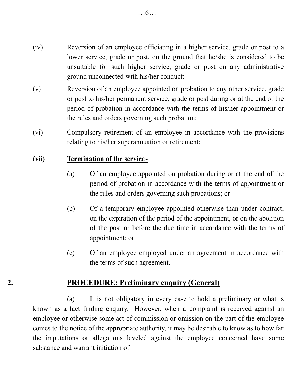- (iv) Reversion of an employee officiating in a higher service, grade or post to a lower service, grade or post, on the ground that he/she is considered to be unsuitable for such higher service, grade or post on any administrative ground unconnected with his/her conduct;
- (v) Reversion of an employee appointed on probation to any other service, grade or post to his/her permanent service, grade or post during or at the end of the period of probation in accordance with the terms of his/her appointment or the rules and orders governing such probation;
- (vi) Compulsory retirement of an employee in accordance with the provisions relating to his/her superannuation or retirement;

#### **(vii) Termination of the service-**

- (a) Of an employee appointed on probation during or at the end of the period of probation in accordance with the terms of appointment or the rules and orders governing such probations; or
- (b) Of a temporary employee appointed otherwise than under contract, on the expiration of the period of the appointment, or on the abolition of the post or before the due time in accordance with the terms of appointment; or
- (c) Of an employee employed under an agreement in accordance with the terms of such agreement.

# **2. PROCEDURE: Preliminary enquiry (General)**

(a) It is not obligatory in every case to hold a preliminary or what is known as a fact finding enquiry. However, when a complaint is received against an employee or otherwise some act of commission or omission on the part of the employee comes to the notice of the appropriate authority, it may be desirable to know as to how far the imputations or allegations leveled against the employee concerned have some substance and warrant initiation of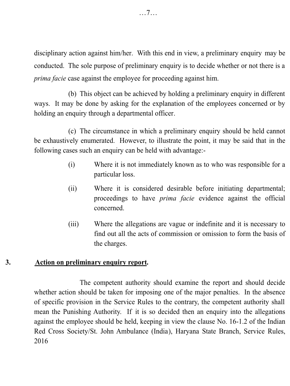disciplinary action against him/her. With this end in view, a preliminary enquiry may be conducted. The sole purpose of preliminary enquiry is to decide whether or not there is a *prima facie* case against the employee for proceeding against him.

(b) This object can be achieved by holding a preliminary enquiry in different ways. It may be done by asking for the explanation of the employees concerned or by holding an enquiry through a departmental officer.

(c) The circumstance in which a preliminary enquiry should be held cannot be exhaustively enumerated. However, to illustrate the point, it may be said that in the following cases such an enquiry can be held with advantage:-

- (i) Where it is not immediately known as to who was responsible for a particular loss.
- (ii) Where it is considered desirable before initiating departmental; proceedings to have *prima facie* evidence against the official concerned.
- (iii) Where the allegations are vague or indefinite and it is necessary to find out all the acts of commission or omission to form the basis of the charges.

#### **3. Action on preliminary enquiry report.**

The competent authority should examine the report and should decide whether action should be taken for imposing one of the major penalties. In the absence of specific provision in the Service Rules to the contrary, the competent authority shall mean the Punishing Authority. If it is so decided then an enquiry into the allegations against the employee should be held, keeping in view the clause No. 16-1.2 of the Indian Red Cross Society/St. John Ambulance (India), Haryana State Branch, Service Rules, 2016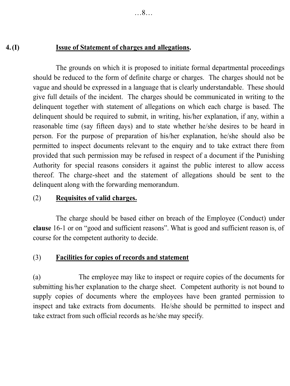## **4.(I) Issue of Statement of charges and allegations.**

The grounds on which it is proposed to initiate formal departmental proceedings should be reduced to the form of definite charge or charges. The charges should not be vague and should be expressed in a language that is clearly understandable. These should give full details of the incident. The charges should be communicated in writing to the delinquent together with statement of allegations on which each charge is based. The delinquent should be required to submit, in writing, his/her explanation, if any, within a reasonable time (say fifteen days) and to state whether he/she desires to be heard in person. For the purpose of preparation of his/her explanation, he/she should also be permitted to inspect documents relevant to the enquiry and to take extract there from provided that such permission may be refused in respect of a document if the Punishing Authority for special reasons considers it against the public interest to allow access thereof. The charge-sheet and the statement of allegations should be sent to the delinquent along with the forwarding memorandum.

# (2) **Requisites of valid charges.**

The charge should be based either on breach of the Employee (Conduct) under **clause** 16-1 or on "good and sufficient reasons". What is good and sufficient reason is, of course for the competent authority to decide.

# (3) **Facilities for copies of records and statement**

(a) The employee may like to inspect or require copies of the documents for submitting his/her explanation to the charge sheet. Competent authority is not bound to supply copies of documents where the employees have been granted permission to inspect and take extracts from documents. He/she should be permitted to inspect and take extract from such official records as he/she may specify.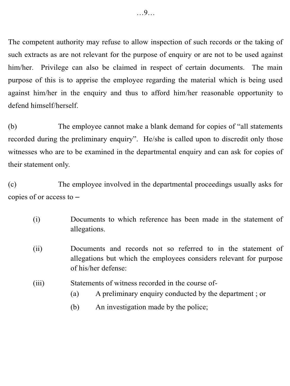The competent authority may refuse to allow inspection of such records or the taking of such extracts as are not relevant for the purpose of enquiry or are not to be used against him/her. Privilege can also be claimed in respect of certain documents. The main purpose of this is to apprise the employee regarding the material which is being used against him/her in the enquiry and thus to afford him/her reasonable opportunity to defend himself/herself.

(b) The employee cannot make a blank demand for copies of "all statements recorded during the preliminary enquiry". He/she is called upon to discredit only those witnesses who are to be examined in the departmental enquiry and can ask for copies of their statement only.

(c) The employee involved in the departmental proceedings usually asks for copies of or access to –

- (i) Documents to which reference has been made in the statement of allegations.
- (ii) Documents and records not so referred to in the statement of allegations but which the employees considers relevant for purpose of his/her defense:
- (iii) Statements of witness recorded in the course of-
	- (a) A preliminary enquiry conducted by the department ; or
	- (b) An investigation made by the police;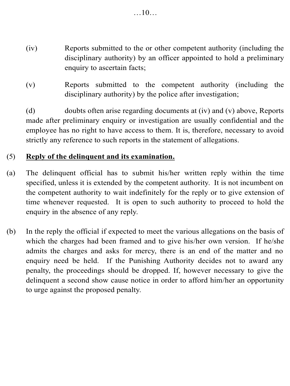- (iv) Reports submitted to the or other competent authority (including the disciplinary authority) by an officer appointed to hold a preliminary enquiry to ascertain facts;
- (v) Reports submitted to the competent authority (including the disciplinary authority) by the police after investigation;

(d) doubts often arise regarding documents at (iv) and (v) above, Reports made after preliminary enquiry or investigation are usually confidential and the employee has no right to have access to them. It is, therefore, necessary to avoid strictly any reference to such reports in the statement of allegations.

## (5) **Reply of the delinquent and its examination.**

- (a) The delinquent official has to submit his/her written reply within the time specified, unless it is extended by the competent authority. It is not incumbent on the competent authority to wait indefinitely for the reply or to give extension of time whenever requested. It is open to such authority to proceed to hold the enquiry in the absence of any reply.
- (b) In the reply the official if expected to meet the various allegations on the basis of which the charges had been framed and to give his/her own version. If he/she admits the charges and asks for mercy, there is an end of the matter and no enquiry need be held. If the Punishing Authority decides not to award any penalty, the proceedings should be dropped. If, however necessary to give the delinquent a second show cause notice in order to afford him/her an opportunity to urge against the proposed penalty.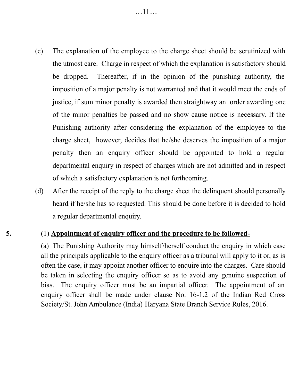…11…

- (c) The explanation of the employee to the charge sheet should be scrutinized with the utmost care. Charge in respect of which the explanation is satisfactory should be dropped. Thereafter, if in the opinion of the punishing authority, the imposition of a major penalty is not warranted and that it would meet the ends of justice, if sum minor penalty is awarded then straightway an order awarding one of the minor penalties be passed and no show cause notice is necessary. If the Punishing authority after considering the explanation of the employee to the charge sheet, however, decides that he/she deserves the imposition of a major penalty then an enquiry officer should be appointed to hold a regular departmental enquiry in respect of charges which are not admitted and in respect of which a satisfactory explanation is not forthcoming.
- (d) After the receipt of the reply to the charge sheet the delinquent should personally heard if he/she has so requested. This should be done before it is decided to hold a regular departmental enquiry.

#### **5.** (1) **Appointment of enquiry officer and the procedure to be followed-**

(a) The Punishing Authority may himself/herself conduct the enquiry in which case all the principals applicable to the enquiry officer as a tribunal will apply to it or, as is often the case, it may appoint another officer to enquire into the charges. Care should be taken in selecting the enquiry officer so as to avoid any genuine suspection of bias. The enquiry officer must be an impartial officer. The appointment of an enquiry officer shall be made under clause No. 16-1.2 of the Indian Red Cross Society/St. John Ambulance (India) Haryana State Branch Service Rules, 2016.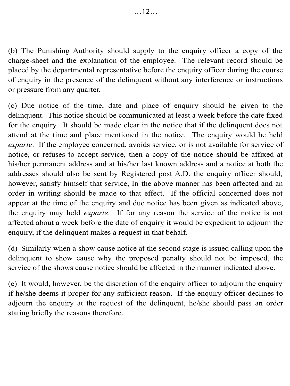(b) The Punishing Authority should supply to the enquiry officer a copy of the charge-sheet and the explanation of the employee. The relevant record should be placed by the departmental representative before the enquiry officer during the course of enquiry in the presence of the delinquent without any interference or instructions or pressure from any quarter.

(c) Due notice of the time, date and place of enquiry should be given to the delinquent. This notice should be communicated at least a week before the date fixed for the enquiry. It should be made clear in the notice that if the delinquent does not attend at the time and place mentioned in the notice. The enquiry would be held *exparte*. If the employee concerned, avoids service, or is not available for service of notice, or refuses to accept service, then a copy of the notice should be affixed at his/her permanent address and at his/her last known address and a notice at both the addresses should also be sent by Registered post A.D. the enquiry officer should, however, satisfy himself that service, In the above manner has been affected and an order in writing should be made to that effect. If the official concerned does not appear at the time of the enquiry and due notice has been given as indicated above, the enquiry may held *exparte*. If for any reason the service of the notice is not affected about a week before the date of enquiry it would be expedient to adjourn the enquiry, if the delinquent makes a request in that behalf.

(d) Similarly when a show cause notice at the second stage is issued calling upon the delinquent to show cause why the proposed penalty should not be imposed, the service of the shows cause notice should be affected in the manner indicated above.

(e) It would, however, be the discretion of the enquiry officer to adjourn the enquiry if he/she deems it proper for any sufficient reason. If the enquiry officer declines to adjourn the enquiry at the request of the delinquent, he/she should pass an order stating briefly the reasons therefore.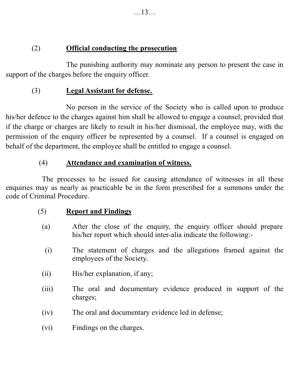(2) **Official conducting the prosecution**

The punishing authority may nominate any person to present the case in support of the charges before the enquiry officer.

# (3) **Legal Assistant for defense.**

No person in the service of the Society who is called upon to produce his/her defence to the charges against him shall be allowed to engage a counsel; provided that if the charge or charges are likely to result in his/her dismissal, the employee may, with the permission of the enquiry officer be represented by a counsel. If a counsel is engaged on behalf of the department, the employee shall be entitled to engage a counsel.

# (4) **Attendance and examination of witness.**

The processes to be issued for causing attendance of witnesses in all these enquiries may as nearly as practicable be in the form prescribed for a summons under the code of Criminal Procedure.

# (5) **Report and Findings**

- (a) After the close of the enquiry, the enquiry officer should prepare his/her report which should inter-alia indicate the following:-
	- (i) The statement of charges and the allegations framed against the employees of the Society.
- (ii) His/her explanation, if any;
- (iii) The oral and documentary evidence produced in support of the charges;
- (iv) The oral and documentary evidence led in defense;
- (vi) Findings on the charges.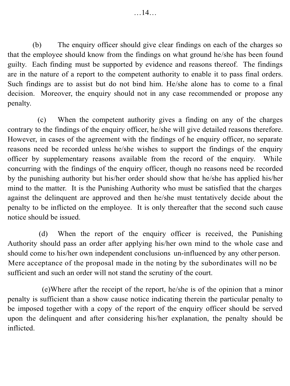(b) The enquiry officer should give clear findings on each of the charges so that the employee should know from the findings on what ground he/she has been found guilty. Each finding must be supported by evidence and reasons thereof. The findings are in the nature of a report to the competent authority to enable it to pass final orders. Such findings are to assist but do not bind him. He/she alone has to come to a final decision. Moreover, the enquiry should not in any case recommended or propose any penalty.

(c) When the competent authority gives a finding on any of the charges contrary to the findings of the enquiry officer, he/she will give detailed reasons therefore. However, in cases of the agreement with the findings of he enquiry officer, no separate reasons need be recorded unless he/she wishes to support the findings of the enquiry officer by supplementary reasons available from the record of the enquiry. While concurring with the findings of the enquiry officer, though no reasons need be recorded by the punishing authority but his/her order should show that he/she has applied his/her mind to the matter. It is the Punishing Authority who must be satisfied that the charges against the delinquent are approved and then he/she must tentatively decide about the penalty to be inflicted on the employee. It is only thereafter that the second such cause notice should be issued.

(d) When the report of the enquiry officer is received, the Punishing Authority should pass an order after applying his/her own mind to the whole case and should come to his/her own independent conclusions un -influenced by any other person. Mere acceptance of the proposal made in the noting by the subordinates will no be sufficient and such an order will not stand the scrutiny of the court.

(e)Where after the receipt of the report, he/she is of the opinion that a minor penalty is sufficient than a show cause notice indicating therein the particular penalty to be imposed together with a copy of the report of the enquiry officer should be served upon the delinquent and after considering his/her explanation, the penalty should be inflicted.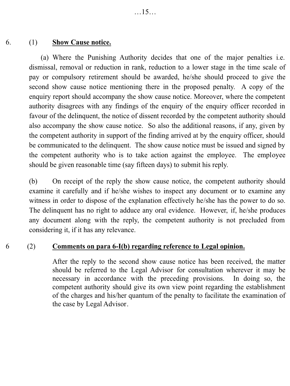#### 6. (1) **Show Cause notice.**

(a) Where the Punishing Authority decides that one of the major penalties i.e. dismissal, removal or reduction in rank, reduction to a lower stage in the time scale of pay or compulsory retirement should be awarded, he/she should proceed to give the second show cause notice mentioning there in the proposed penalty. A copy of the enquiry report should accompany the show cause notice. Moreover, where the competent authority disagrees with any findings of the enquiry of the enquiry officer recorded in favour of the delinquent, the notice of dissent recorded by the competent authority should also accompany the show cause notice. So also the additional reasons, if any, given by the competent authority in support of the finding arrived at by the enquiry officer, should be communicated to the delinquent. The show cause notice must be issued and signed by the competent authority who is to take action against the employee. The employee should be given reasonable time (say fifteen days) to submit his reply.

(b) On receipt of the reply the show cause notice, the competent authority should examine it carefully and if he/she wishes to inspect any document or to examine any witness in order to dispose of the explanation effectively he/she has the power to do so. The delinquent has no right to adduce any oral evidence. However, if, he/she produces any document along with the reply, the competent authority is not precluded from considering it, if it has any relevance.

#### 6 (2) **Comments on para 6-I(b) regarding reference to Legal opinion.**

After the reply to the second show cause notice has been received, the matter should be referred to the Legal Advisor for consultation wherever it may be necessary in accordance with the preceding provisions. In doing so, the competent authority should give its own view point regarding the establishment of the charges and his/her quantum of the penalty to facilitate the examination of the case by Legal Advisor.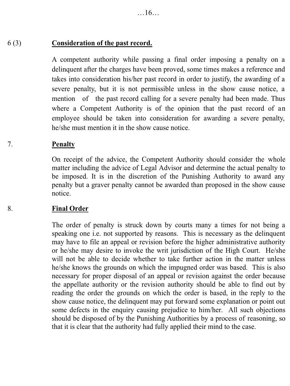#### 6 (3) **Consideration of the past record.**

A competent authority while passing a final order imposing a penalty on a delinquent after the charges have been proved, some times makes a reference and takes into consideration his/her past record in order to justify, the awarding of a severe penalty, but it is not permissible unless in the show cause notice, a mention of the past record calling for a severe penalty had been made. Thus where a Competent Authority is of the opinion that the past record of an employee should be taken into consideration for awarding a severe penalty, he/she must mention it in the show cause notice.

#### 7. **Penalty**

On receipt of the advice, the Competent Authority should consider the whole matter including the advice of Legal Advisor and determine the actual penalty to be imposed. It is in the discretion of the Punishing Authority to award any penalty but a graver penalty cannot be awarded than proposed in the show cause notice.

#### 8. **Final Order**

The order of penalty is struck down by courts many a times for not being a speaking one i.e. not supported by reasons. This is necessary as the delinquent may have to file an appeal or revision before the higher administrative authority or he/she may desire to invoke the writ jurisdiction of the High Court. He/she will not be able to decide whether to take further action in the matter unless he/she knows the grounds on which the impugned order was based. This is also necessary for proper disposal of an appeal or revision against the order because the appellate authority or the revision authority should be able to find out by reading the order the grounds on which the order is based, in the reply to the show cause notice, the delinquent may put forward some explanation or point out some defects in the enquiry causing prejudice to him/her. All such objections should be disposed of by the Punishing Authorities by a process of reasoning, so that it is clear that the authority had fully applied their mind to the case.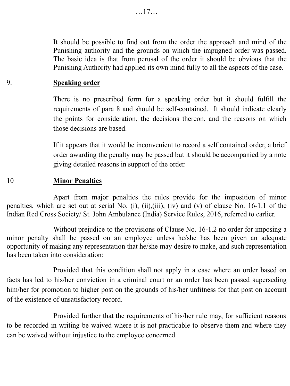It should be possible to find out from the order the approach and mind of the Punishing authority and the grounds on which the impugned order was passed. The basic idea is that from perusal of the order it should be obvious that the Punishing Authority had applied its own mind fully to all the aspects of the case.

#### 9. **Speaking order**

There is no prescribed form for a speaking order but it should fulfill the requirements of para 8 and should be self-contained. It should indicate clearly the points for consideration, the decisions thereon, and the reasons on which those decisions are based.

If it appears that it would be inconvenient to record a self contained order, a brief order awarding the penalty may be passed but it should be accompanied by a note giving detailed reasons in support of the order.

#### 10 **Minor Penalties**

Apart from major penalties the rules provide for the imposition of minor penalties, which are set out at serial No. (i), (ii),(iii), (iv) and (v) of clause No. 16-1.1 of the Indian Red Cross Society/ St. John Ambulance (India) Service Rules, 2016, referred to earlier.

Without prejudice to the provisions of Clause No. 16-1.2 no order for imposing a minor penalty shall be passed on an employee unless he/she has been given an adequate opportunity of making any representation that he/she may desire to make, and such representation has been taken into consideration:

Provided that this condition shall not apply in a case where an order based on facts has led to his/her conviction in a criminal court or an order has been passed superseding him/her for promotion to higher post on the grounds of his/her unfitness for that post on account of the existence of unsatisfactory record.

Provided further that the requirements of his/her rule may, for sufficient reasons to be recorded in writing be waived where it is not practicable to observe them and where they can be waived without injustice to the employee concerned.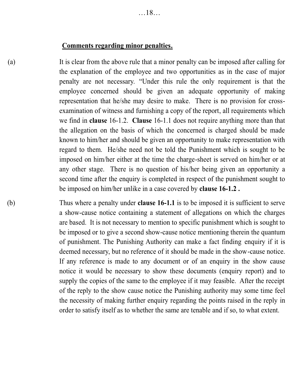#### **Comments regarding minor penalties.**

(a) It is clear from the above rule that a minor penalty can be imposed after calling for the explanation of the employee and two opportunities as in the case of major penalty are not necessary. "Under this rule the only requirement is that the employee concerned should be given an adequate opportunity of making representation that he/she may desire to make. There is no provision for crossexamination of witness and furnishing a copy of the report, all requirements which we find in **clause** 16-1.2. **Clause** 16-1.1 does not require anything more than that the allegation on the basis of which the concerned is charged should be made known to him/her and should be given an opportunity to make representation with regard to them. He/she need not be told the Punishment which is sought to be imposed on him/her either at the time the charge-sheet is served on him/her or at any other stage. There is no question of his/her being given an opportunity a second time after the enquiry is completed in respect of the punishment sought to be imposed on him/her unlike in a case covered by **clause 16-1.2 .**

(b) Thus where a penalty under **clause 16-1.1** is to be imposed it is sufficient to serve a show-cause notice containing a statement of allegations on which the charges are based. It is not necessary to mention to specific punishment which is sought to be imposed or to give a second show-cause notice mentioning therein the quantum of punishment. The Punishing Authority can make a fact finding enquiry if it is deemed necessary, but no reference of it should be made in the show-cause notice. If any reference is made to any document or of an enquiry in the show cause notice it would be necessary to show these documents (enquiry report) and to supply the copies of the same to the employee if it may feasible. After the receipt of the reply to the show cause notice the Punishing authority may some time feel the necessity of making further enquiry regarding the points raised in the reply in order to satisfy itself as to whether the same are tenable and if so, to what extent.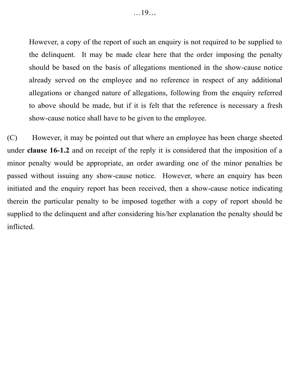However, a copy of the report of such an enquiry is not required to be supplied to the delinquent. It may be made clear here that the order imposing the penalty should be based on the basis of allegations mentioned in the show-cause notice already served on the employee and no reference in respect of any additional allegations or changed nature of allegations, following from the enquiry referred to above should be made, but if it is felt that the reference is necessary a fresh show-cause notice shall have to be given to the employee.

(C) However, it may be pointed out that where an employee has been charge sheeted under **clause 16-1.2** and on receipt of the reply it is considered that the imposition of a minor penalty would be appropriate, an order awarding one of the minor penalties be passed without issuing any show-cause notice. However, where an enquiry has been initiated and the enquiry report has been received, then a show-cause notice indicating therein the particular penalty to be imposed together with a copy of report should be supplied to the delinquent and after considering his/her explanation the penalty should be inflicted.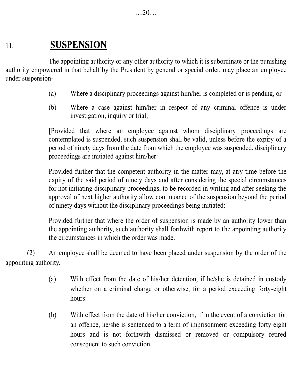# 11. **SUSPENSION**

The appointing authority or any other authority to which it is subordinate or the punishing authority empowered in that behalf by the President by general or special order, may place an employee under suspension-

- (a) Where a disciplinary proceedings against him/her is completed or is pending, or
- (b) Where a case against him/her in respect of any criminal offence is under investigation, inquiry or trial;

[Provided that where an employee against whom disciplinary proceedings are contemplated is suspended, such suspension shall be valid, unless before the expiry of a period of ninety days from the date from which the employee was suspended, disciplinary proceedings are initiated against him/her:

Provided further that the competent authority in the matter may, at any time before the expiry of the said period of ninety days and after considering the special circumstances for not initiating disciplinary proceedings, to be recorded in writing and after seeking the approval of next higher authority allow continuance of the suspension beyond the period of ninety days without the disciplinary proceedings being initiated:

Provided further that where the order of suspension is made by an authority lower than the appointing authority, such authority shall forthwith report to the appointing authority the circumstances in which the order was made.

(2) An employee shall be deemed to have been placed under suspension by the order of the appointing authority.

- (a) With effect from the date of his/her detention, if he/she is detained in custody whether on a criminal charge or otherwise, for a period exceeding forty-eight hours:
- (b) With effect from the date of his/her conviction, if in the event of a conviction for an offence, he/she is sentenced to a term of imprisonment exceeding forty eight hours and is not forthwith dismissed or removed or compulsory retired consequent to such conviction.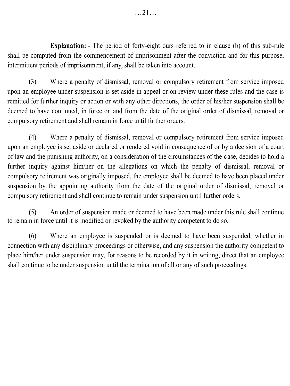**Explanation:** - The period of forty-eight ours referred to in clause (b) of this sub-rule shall be computed from the commencement of imprisonment after the conviction and for this purpose, intermittent periods of imprisonment, if any, shall be taken into account.

(3) Where a penalty of dismissal, removal or compulsory retirement from service imposed upon an employee under suspension is set aside in appeal or on review under these rules and the case is remitted for further inquiry or action or with any other directions, the order of his/her suspension shall be deemed to have continued, in force on and from the date of the original order of dismissal, removal or compulsory retirement and shall remain in force until further orders.

(4) Where a penalty of dismissal, removal or compulsory retirement from service imposed upon an employee is set aside or declared or rendered void in consequence of or by a decision of a court of law and the punishing authority, on a consideration of the circumstances of the c ase, decides to hold a further inquiry against him/her on the allegations on which the penalty of dismissal, removal or compulsory retirement was originally imposed, the employee shall be deemed to have been placed under suspension by the appointing authority from the date of the original order of dismissal, removal or compulsory retirement and shall continue to remain under suspension until further orders.

(5) An order of suspension made or deemed to have been made under this rule shall continue to remain in force until it is modified or revoked by the authority competent to do so.

(6) Where an employee is suspended or is deemed to have been suspended, whether in connection with any disciplinary proceedings or otherwise, and any suspension the authority competent to place him/her under suspension may, for reasons to be recorded by it in writing, direct that an employee shall continue to be under suspension until the termination of all or any of such proceedings.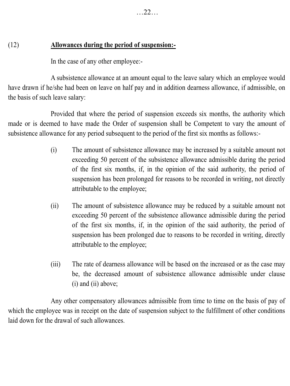### (12) **Allowances during the period of suspension:-**

In the case of any other employee:-

A subsistence allowance at an amount equal to the leave salary which an employee would have drawn if he/she had been on leave on half pay and in addition dearness allowance, if admissible, on the basis of such leave salary:

Provided that where the period of suspension exceeds six months, the authority which made or is deemed to have made the Order of suspension shall be Competent to vary the amount of subsistence allowance for any period subsequent to the period of the first six months as follows:-

- (i) The amount of subsistence allowance may be increased by a suitable amount not exceeding 50 percent of the subsistence allowance admissible during the period of the first six months, if, in the opinion of the said authority, the period of suspension has been prolonged for reasons to be recorded in writing, not directly attributable to the employee;
- (ii) The amount of subsistence allowance may be reduced by a suitable amount not exceeding 50 percent of the subsistence allowance admissible during the period of the first six months, if, in the opinion of the said authority, the period of suspension has been prolonged due to reasons to be recorded in writing, directly attributable to the employee;
- (iii) The rate of dearness allowance will be based on the increased or as the case may be, the decreased amount of subsistence allowance admissible under clause (i) and (ii) above;

Any other compensatory allowances admissible from time to time on the basis of pay of which the employee was in receipt on the date of suspension subject to the fulfillment of other conditions laid down for the drawal of such allowances.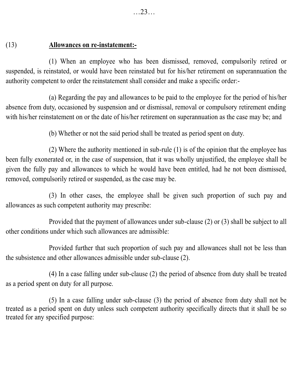# (13) **Allowances on re-instatement:-**

(1) When an employee who has been dismissed, removed, compulsorily retired or suspended, is reinstated, or would have been reinstated but for his/her retirement on superannuation the authority competent to order the reinstatement shall consider and make a specific order:-

(a) Regarding the pay and allowances to be paid to the employee for the period of his/her absence from duty, occasioned by suspension and or dismissal, removal or compulsory retirement ending with his/her reinstatement on or the date of his/her retirement on superannuation as the case may be; and

(b) Whether or not the said period shall be treated as period spent on duty.

(2) Where the authority mentioned in sub-rule (1) is of the opinion that the employee has been fully exonerated or, in the case of suspension, that it was wholly unjustified, the employee shall be given the fully pay and allowances to which he would have been entitled, had he not been dismissed, removed, compulsorily retired or suspended, as the case may be.

(3) In other cases, the employee shall be given such proportion of such pay and allowances as such competent authority may prescribe:

Provided that the payment of allowances under sub-clause (2) or (3) shall be subject to all other conditions under which such allowances are admissible:

Provided further that such proportion of such pay and allowances shall not be less than the subsistence and other allowances admissible under sub-clause (2).

(4) In a case falling under sub-clause (2) the period of absence from duty shall be treated as a period spent on duty for all purpose.

(5) In a case falling under sub-clause (3) the period of absence from duty shall not be treated as a period spent on duty unless such competent authority specifically directs that it shall be so treated for any specified purpose: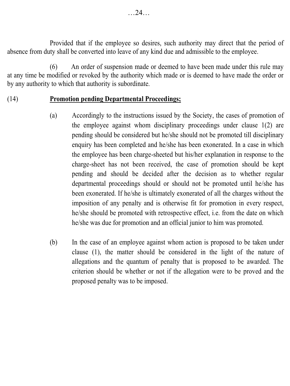Provided that if the employee so desires, such authority may direct that the period of absence from duty shall be converted into leave of any kind due and admissible to the employee.

(6) An order of suspension made or deemed to have been made under this rule may at any time be modified or revoked by the authority which made or is deemed to have made the order or by any authority to which that authority is subordinate.

#### (14) **Promotion pending Departmental Proceedings;**

- (a) Accordingly to the instructions issued by the Society, the cases of promotion of the employee against whom disciplinary proceedings under clause 1(2) are pending should be considered but he/she should not be promoted till disciplinary enquiry has been completed and he/she has been exonerated. In a case in which the employee has been charge-sheeted but his/her explanation in response to the charge-sheet has not been received, the case of promotion should be kept pending and should be decided after the decision as to whether regular departmental proceedings should or should not be promoted until he/she has been exonerated. If he/she is ultimately exonerated of all the charges without the imposition of any penalty and is otherwise fit for promotion in every respect, he/she should be promoted with retrospective effect, i.e. from the date on which he/she was due for promotion and an official junior to him was promoted.
- (b) In the case of an employee against whom action is proposed to be taken under clause (1), the matter should be considered in the light of the nature of allegations and the quantum of penalty that is proposed to be awarded. The criterion should be whether or not if the allegation were to be proved and the proposed penalty was to be imposed.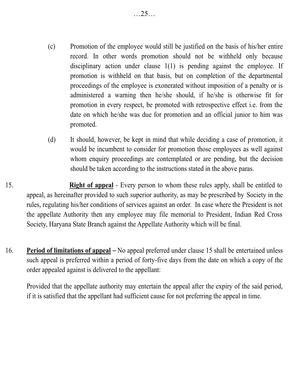- (c) Promotion of the employee would still be justified on the basis of his/her entire record. In other words promotion should not be withheld only because disciplinary action under clause 1(1) is pending against the employee. If promotion is withheld on that basis, but on completion of the departmental proceedings of the employee is exonerated without imposition of a penalty or is administered a warning then he/she should, if he/she is otherwise fit for promotion in every respect, be promoted with retrospective effect i.e. from the date on which he/she was due for promotion and an official junior to him was promoted.
- (d) It should, however, be kept in mind that while deciding a case of promotion, it would be incumbent to consider for promotion those employees as well against whom enquiry proceedings are contemplated or are pending, but the decision should be taken according to the instructions stated in the above paras.
- 15. **Right of appeal** Every person to whom these rules apply, shall be entitled to appeal, as hereinafter provided to such superior authority, as may be prescribed by Society in the rules, regulating his/her conditions of services against an order. In case where the President is not the appellate Authority then any employee may file memorial to President, Indian Red Cross Society, Haryana State Branch against the Appellate Authority which will be final.
- 16. **Period of limitations of appeal** No appeal preferred under clause 15 shall be entertained unless such appeal is preferred within a period of forty-five days from the date on which a copy of the order appealed against is delivered to the appellant:

Provided that the appellate authority may entertain the appeal after the expiry of the said period, if it is satisfied that the appellant had sufficient cause for not preferring the appeal in time.